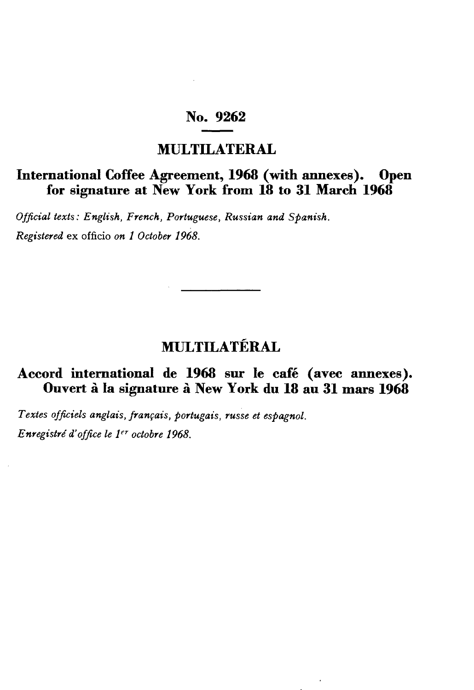# **No. 9262**

# **MULTILATERAL**

# **International Coffee Agreement, 1968 (with annexes). Open for signature at New York from 18 to 31 March 1968**

*Official texts : English, French, Portuguese, Russian and Spanish. Registered* ex officio *on 1 October 1968.*

# **MULTILATÉRAL**

# **Accord international de 1968 sur le café (avec annexes). Ouvert à la signature à New York du 18 au 31 mars 1968**

*Textes officiels anglais, français, portugais, russe et espagnol. Enregistré d'office le 1<sup>er</sup> octobre 1968.*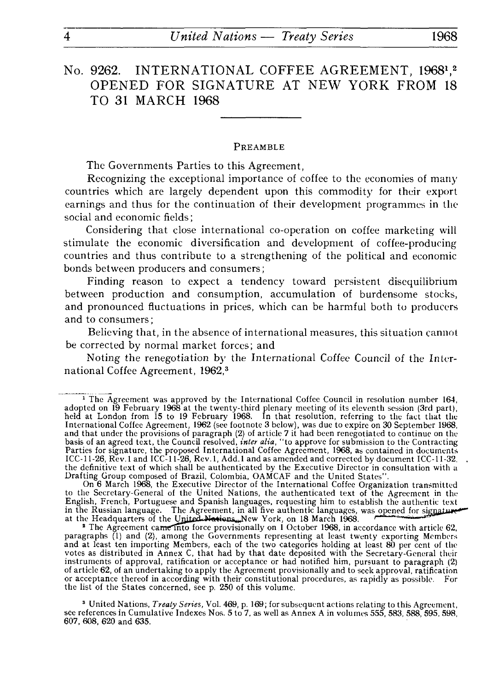# No. 9262. INTERNATIONAL COFFEE AGREEMENT, 1968<sup>1</sup>,<sup>2</sup> OPENED FOR SIGNATURE AT NEW YORK FROM 18 TO 31 MARCH 1968

#### PREAMBLE

The Governments Parties to this Agreement,

Recognizing the exceptional importance of coffee to the economies of many countries which are largely dependent upon this commodity for their export earnings and thus for the continuation of their development programmes in the social and economic fields ;

Considering that close international co-operation on coffee marketing will stimulate the economic diversification and development of coffee-producing countries and thus contribute to a strengthening of the political and economic bonds between producers and consumers;

Finding reason to expect a tendency toward persistent disequilibrium between production and consumption, accumulation of burdensome stocks, and pronounced fluctuations in prices, which can be harmful both to producers and to consumers ;

Believing that, in the absence of international measures, this situation cannot be corrected by normal market forces; and

Noting the renegotiation by the International Coffee Council of the Inter national Coffee Agreement, 1962,3

<sup>&</sup>lt;sup>1</sup> The Agreement was approved by the International Coffee Council in resolution number 164, adopted on 19 February 1968 at the twenty-third plenary meeting of its eleventh session (3rd part), held at London from 15 to 19 International Coffee Agreement, 1962 (see footnote 3 below), was due to expire on 30 September 1968, and that under the provisions of paragraph (2) of article 7 it had been renegotiated to continue on the basis of an agree the definitive text of which shall be authenticated by the Executive Director in consultation with a Drafting Group composed of Brazil, Colombia, OAMCAF and the United States". On 6 March 1968, the Executive Director of the International Coffee Organization transmitted

to the Secretary-General of the United Nations, the authenticated text of the Agreement in the English, French, Portuguese and Spanish languages, requesting him to establish the authentic text in the Russian language. The the list of the States concerned, see p. 250 of this volume.

<sup>3</sup> United Nations, *Treaty Series,* Vol. 469, p. 169; for subsequent actions relating to this Agreement, sec references in Cumulative Indexes Nos. 5 to 7, as well as Annex A in volumes 555, 583, 588, 595. 598, 607, 608, 620 and 635.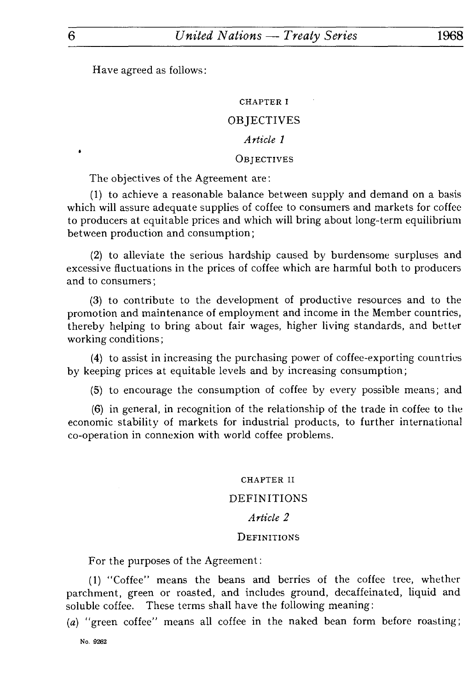Have agreed as follows :

# CHAPTER I OBJECTIVES *Article 1*  **OBJECTIVES**

The objectives of the Agreement are:

(1) to achieve a reasonable balance between supply and demand on a basis which will assure adequate supplies of coffee to consumers and markets for coffee to producers at equitable prices and which will bring about long-term equilibrium between production and consumption ;

(2) to alleviate the serious hardship caused by burdensome surpluses and excessive fluctuations in the prices of coffee which are harmful both to producers and to consumers ;

(3) to contribute to the development of productive resources and to the promotion and maintenance of employment and income in the Member countries, thereby helping to bring about fair wages, higher living standards, and better working conditions ;

(4) to assist in increasing the purchasing power of coffee-exporting countries by keeping prices at equitable levels and by increasing consumption;

(5) to encourage the consumption of coffee by every possible means; and

(6) in general, in recognition of the relationship of the trade in coffee to the economic stability of markets for industrial products, to further international co-operation in connexion with world coffee problems.

#### CHAPTER II

#### DEFINITIONS

#### *Article 2*

#### **DEFINITIONS**

For the purposes of the Agreement :

(1) "Coffee" means the beans and berries of the coffee tree, whether parchment, green or roasted, and includes ground, decaffeinated, liquid and soluble coffee. These terms shall have the following meaning :

(a) "green coffee" means all coffee in the naked bean form before roasting;

»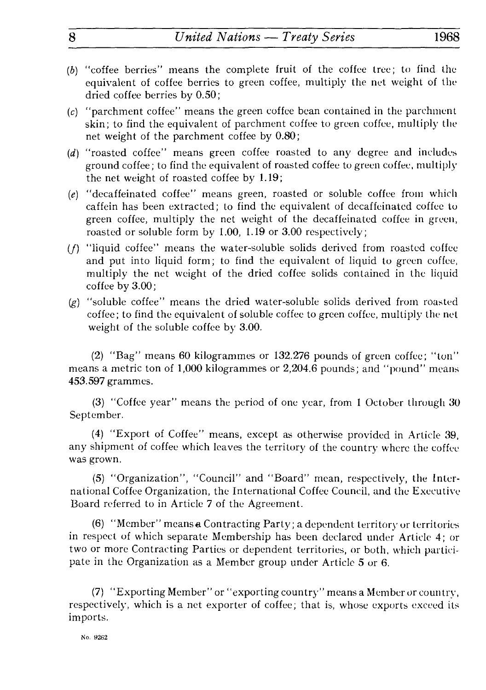- *(b)* "coffee bernes" means the complete fruit of the coffee tree; to find the equivalent of coffee berries to green coffee, multiply the net weight of the dried coffee berries by 0.50;
- *(c)* "parchment coffee" means the green coffee bean contained in the parchment skin; to find the equivalent of parchment coffee to green coffee, multiply the net weight of the parchment coffee by 0.80 ;
- *(d)* "roasted coffee" means green coffee roasted to any degree and includes ground coffee; to find the equivalent of roasted coffee to green coffee, multiply the net weight of roasted coffee by 1.19;
- *(e)* "decaffeinated coffee" means green, roasted or soluble coffee from which caffein has been extracted; to find the equivalent of decaffeinated coffee tu green coffee, multiply the net weight of the decaffeinated coffee in green, roasted or soluble form by 1.00, 1.19 or 3.00 respectively;
- $(f)$  "liquid coffee" means the water-soluble solids derived from roasted coffee and put into liquid form; to find the equivalent of liquid to green coffee, multiply the net weight of the dried coffee solids contained in the liquid coffee by 3.00;
- *(g)* "soluble coffee" means the dried water-soluble solids derived from roasted coffee; to find the equivalent of soluble coffee to green coffee, multiply the net weight of the soluble coffee by 3.00.

(2) "Bag" means 60 kilogrammes or 132.276 pounds of green coffee; "ton" means a metric ton of 1,000 kilogrammes or 2,204.6 pounds; and "pound" means 453.597 grammes.

(3) "Coffee year" means the period of one year, from 1 October through 30 September.

(4) "Export of Coffee" means, except as otherwise provided in Article 39, any shipment of coffee which leaves the territory of the country where the coffee was grown.

(5) "Organization", "Council" and "Board" mean, respectively, the Inter national Coffee Organization, the International Coffee Council, and the Executive Board referred to in Article 7 of the Agreement.

(6) "Member" meansa Contracting Party; a dependent territory or territories in respect of which separate Membership has been declared under Article 4; or two or more Contracting Parties or dependent territories, or both, which partici pate in the Organization as a Member group under Article 5 or 6.

(7) "Exporting Member" or "exporting country" means a Member or country, respectively, which is a net exporter of coffee; that is, whose exports exceed its imports.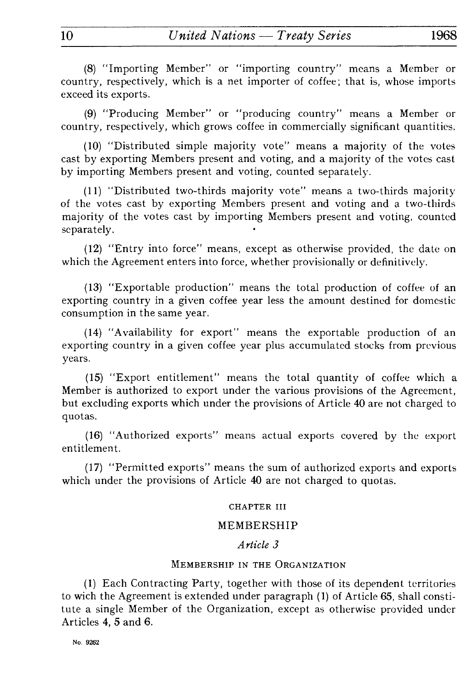(8) "Importing Member" or "importing country" means a Member or country, respectively, which is a net importer of coffee; that is, whose imports exceed its exports.

(9) "Producing Member" or "producing country" means a Member or country, respectively, which grows coffee in commercially significant quantities.

(10) "Distributed simple majority vote" means a majority of the votes cast by exporting Members present and voting, and a majority of the votes cast by importing Members present and voting, counted separately.

(11) "Distributed two-thirds majority vote" means a two-thirds majority of the votes cast by exporting Members present and voting and a two-thirds majority of the votes cast by importing Members present and voting, counted separately.

(12) "Entry into force" means, except as otherwise provided, the date on which the Agreement enters into force, whether provisionally or definitively.

(13) "Exportable production" means the total production of coffee of an exporting country in a given coffee year less the amount destined for domestic consumption in the same year.

(14) "Availability for export" means the exportable production of an exporting country in a given coffee year plus accumulated stocks from previous years.

(15) "Export entitlement" means the total quantity of coffee which a Member is authorized to export under the various provisions of the Agreement, but excluding exports which under the provisions of Article 40 are not charged to quotas.

(16) "Authorized exports" means actual exports covered by the export entitlement.

(17) "Permitted exports" means the sum of authorized exports and exports which under the provisions of Article 40 are not charged to quotas.

#### **CHAPTER III**

#### MEMBERSHIP

## *Article 3*

#### MEMBERSHIP IN THE ORGANIZATION

(1) Each Contracting Party, together with those of its dependent territories to wich the Agreement is extended under paragraph (1) of Article 65, shall consti tute a single Member of the Organization, except as otherwise provided under Articles 4, 5 and 6.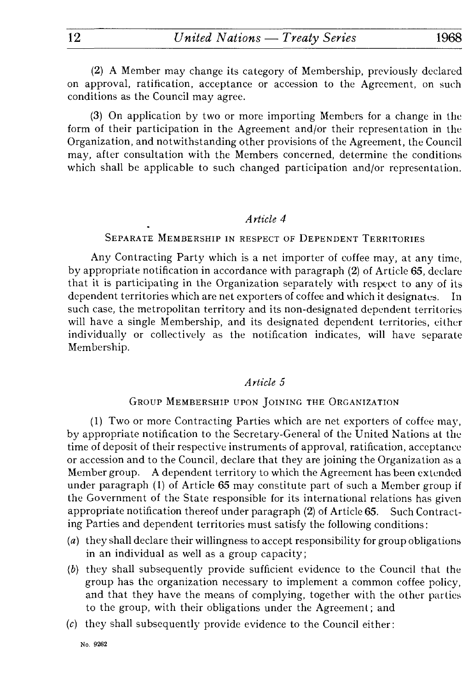(2) A Member may change its category of Membership, previously declared on approval, ratification, acceptance or accession to the Agreement, on such conditions as the Council may agree.

(3) On application by two or more importing Members for a change in the form of their participation in the Agreement and/or their representation in the Organization, and notwithstanding other provisions of the Agreement, the Council may, after consultation with the Members concerned, determine the conditions which shall be applicable to such changed participation and/or representation.

## *Article 4*

#### SEPARATE MEMBERSHIP IN RESPECT OF DEPENDENT TERRITORIES

Any Contracting Party which is a net importer of coffee may, at any time, by appropriate notification in accordance with paragraph (2) of Article 65, declare that it is participating in the Organization separately with respect to any of its dependent territories which are net exporters of coffee and which it designates. In such case, the metropolitan territory and its non-designated dependent territories will have a single Membership, and its designated dependent territories, either individually or collectively as the notification indicates, will have separate Membership.

#### *Article 5*

## GROUP MEMBERSHIP UPON JOINING THE ORGANIZATION

(1) Two or more Contracting Parties which are net exporters of coffee may, by appropriate notification to the Secretary-General of the United Nations at the time of deposit of their respective instruments of approval, ratification, acceptance or accession and to the Council, declare that they are joining the Organization as a Member group. A dependent territory to which the Agreement has been extended under paragraph (1) of Article 65 may constitute part of such a Member group if the Government of the State responsible for its international relations has given appropriate notification thereof under paragraph (2) of Article 65. Such Contracting Parties and dependent territories must satisfy the following conditions :

- *(a)* they shall declare their willingness to accept responsibility for group obligations in an individual as well as a group capacity;
- *(b)* they shall subsequently provide sufficient evidence to the Council that the group has the organization necessary to implement a common coffee policy, and that they have the means of complying, together with the other parties to the group, with their obligations under the Agreement ; and
- *(c)* they shall subsequently provide evidence to the Council either :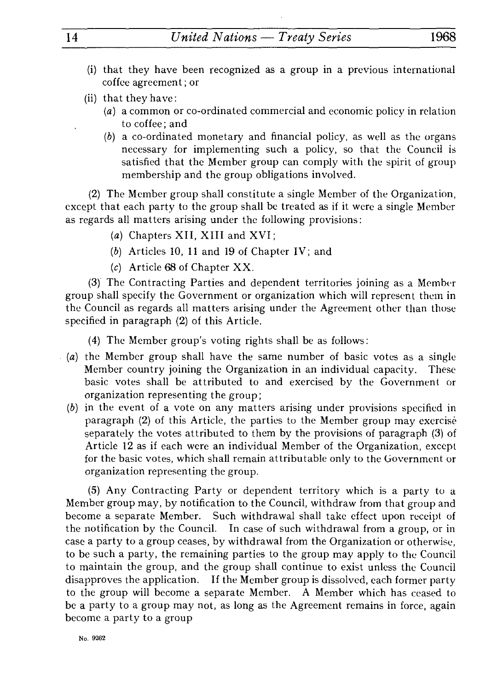- (i) that they have been recognized as a group in a previous international coffee agreement ; or
- (ii) that they have :
	- *(a)* a common or co-ordinated commercial and economic policy in relation to coffee ; and
	- *(b)* a co-ordinated monetary and financial policy, as well as the organs necessary for implementing such a policy, so that the Council is satisfied that the Member group can comply with the spirit of group membership and the group obligations involved.

(2) The Member group shall constitute a single Member of the Organization, except that each party to the group shall be treated as if it were a single Member as regards all matters arising under the following provisions:

- *(a)* Chapters XII, XIII and XVI;
- *(b)* Articles 10, 11 and 19 of Chapter IV; and
- *(c)* Article 68 of Chapter XX.

(3) The Contracting Parties and dependent territories joining as a Member group shall specify the Government or organization which will represent them in the Council as regards all matters arising under the Agreement other than those specified in paragraph (2) of this Article.

(4) The Member group's voting rights shall be as follows:

- *(a)* the Member group shall have the same number of basic votes as a single Member country joining the Organization in an individual capacity. These basic votes shall be attributed to and exercised by the Government or organization representing the group;
	- *(b)* in the event of a vote on any matters arising under provisions specified in paragraph (2) of this Article, the parties to the Member group may exercise separately the votes attributed to them by the provisions of paragraph (3) of Article 12 as if each were an individual Member of the Organization, except for the basic votes, which shall remain attributable only to the Government or organization representing the group.

(5) Any Contracting Party or dependent territory which is a party to a Member group may, by notification to the Council, withdraw from that group and become a separate Member. Such withdrawal shall take effect upon receipt of the notification by the Council. In case of such withdrawal from a group, or in case a party to a group ceases, by withdrawal from the Organization or otherwise, to be such a party, the remaining parties to the group may apply to the Council to maintain the group, and the group shall continue to exist unless the Council disapproves the application. If the Member group is dissolved, each former party to the group will become a separate Member. A Member which has ceased to be a party to a group may not, as long as the Agreement remains in force, again become a party to a group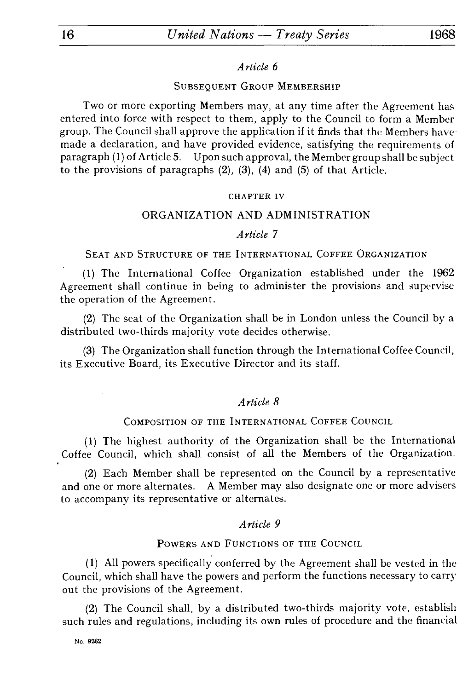## *Article 6*

## SUBSEQUENT GROUP MEMBERSHIP

Two or more exporting Members may, at any time after the Agreement has entered into force with respect to them, apply to the Council to form a Member group. The Council shall approve the application if it finds that the Members havemade a declaration, and have provided evidence, satisfying the requirements of paragraph (1) of Article 5. Upon such approval, the Member group shall be subject to the provisions of paragraphs  $(2)$ ,  $(3)$ ,  $(4)$  and  $(5)$  of that Article.

#### **CHAPTER IV**

## ORGANIZATION AND ADMINISTRATION

## *Article 7*

#### SEAT AND STRUCTURE OF THE INTERNATIONAL COFFEE ORGANIZATION

(1) The International Coffee Organization established under the 1962 Agreement shall continue in being to administer the provisions and supervise the operation of the Agreement.

(2) The seat of the Organization shall be in London unless the Council by a distributed two-thirds majority vote decides otherwise.

(3) The Organization shall function through the International Coffee Council, its Executive Board, its Executive Director and its staff.

### *Article 8*

COMPOSITION OF THE INTERNATIONAL COFFEE COUNCIL

(1) The highest authority of the Organization shall be the International Coffee Council, which shall consist of all the Members of the Organization.

(2) Each Member shall be represented on the Council by a representative and one or more alternates. A Member may also designate one or more advisers to accompany its representative or alternates.

## *Article 9*

## POWERS AND FUNCTIONS OF THE COUNCIL

(1) All powers specifically conferred by the Agreement shall be vested in the Council, which shall have the powers and perform the functions necessary to carry out the provisions of the Agreement.

(2) The Council shall, by a distributed two-thirds majority vote, establish such rules and regulations, including its own rules of procedure and the financial

No. 9262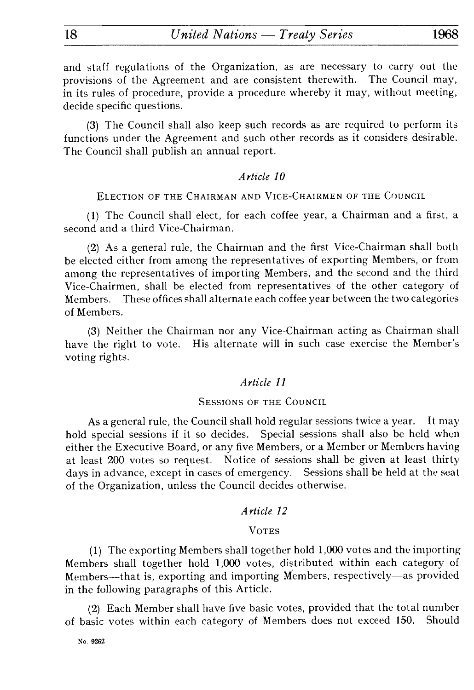and staff regulations of the Organization, as are necessary to carry out the provisions of the Agreement and are consistent therewith. The Council may, in its rules of procedure, provide a procedure whereby it may, without meeting, decide specific questions.

(3) The Council shall also keep such records as are required to perform its functions under the Agreement and such other records as it considers desirable. The Council shall publish an annual report.

## *Article 10*

ELECTION OF THE CHAIRMAN AND VICE-CHAIRMEN OF THE COUNCIL

(1) The Council shall elect, for each coffee year, a Chairman and a first, a second and a third Vice-Chairman.

(2) As a general rule, the Chairman and the first Vice-Chairman shall both be elected either from among the representatives of exporting Members, or from among the representatives of importing Members, and the second and the third Vice-Chairmen, shall be elected from representatives of the other category of Members. These offices shall alternate each coffee year between the two categories of Members.

(3) Neither the Chairman nor any Vice-Chairman acting as Chairman shall have the right to vote. His alternate will in such case exercise the Member's voting rights.

#### *Article 11*

#### SESSIONS OF THE COUNCIL

As a general rule, the Council shall hold regular sessions twice a year. It may hold special sessions if it so decides. Special sessions shall also be held when either the Executive Board, or any five Members, or a Member or Members having at least 200 votes so request. Notice of sessions shall be given at least thirty days in advance, except in cases of emergency. Sessions shall be held at the seat of the Organization, unless the Council decides otherwise.

#### *Article 12*

#### **VOTES**

(1) The exporting Members shall together hold 1,000 votes and the importing Members shall together hold 1,000 votes, distributed within each category of Members—that is, exporting and importing Members, respectively—as provided in the following paragraphs of this Article.

(2) Each Member shall have five basic votes, provided that the total number of basic votes within each category of Members does not exceed 150. Should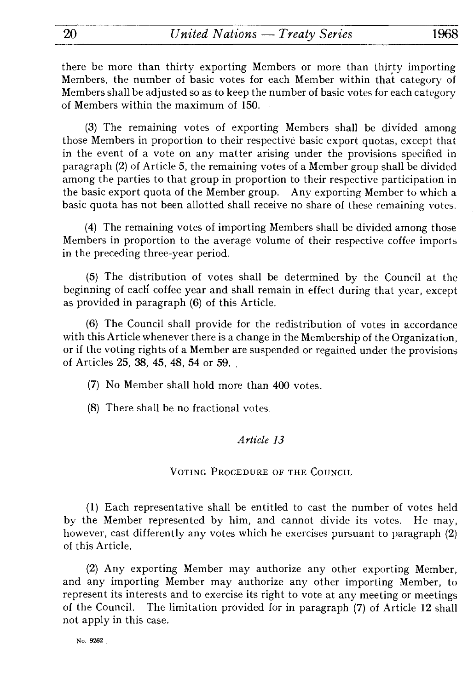there be more than thirty exporting Members or more than thirty importing Members, the number of basic votes for each Member within that category of Members shall be adjusted so as to keep the number of basic votes for each category of Members within the maximum of 150.

(3) The remaining votes of exporting Members shall be divided among those Members in proportion to their respective basic export quotas, except that in the event of a vote on any matter arising under the provisions specified in paragraph (2) of Article 5, the remaining votes of a Member group shall be divided among the parties to that group in proportion to their respective participation in the basic export quota of the Member group. Any exporting Member to which a basic quota has not been allotted shall receive no share of these remaining votes.

(4) The remaining votes of importing Members shall be divided among those Members in proportion to the average volume of their respective coffee imports in the preceding three-year period.

(5) The distribution of votes shall be determined by the Council at the beginning of each coffee year and shall remain in effect during that year, except as provided in paragraph (6) of this Article.

(6) The Council shall provide for the redistribution of votes in accordance with this Article whenever there is a change in the Membership of the Organization, or if the voting rights of a Member are suspended or regained under the provisions of Articles 25, 38, 45, 48, 54 or 59. .

(7) No Member shall hold more than 400 votes.

(8) There shall be no fractional votes.

## *Article 13*

#### VOTING PROCEDURE OF THE COUNCIL

(1) Each representative shall be entitled to cast the number of votes held by the Member represented by him, and cannot divide its votes. He may, however, cast differently any votes which he exercises pursuant to paragraph (2) of this Article.

(2) Any exporting Member may authorize any other exporting Member, and any importing Member may authorize any other importing Member, to represent its interests and to exercise its right to vote at any meeting or meetings of the Council. The limitation provided for in paragraph (7) of Article 12 shall not apply in this case.

**No. 9262 .**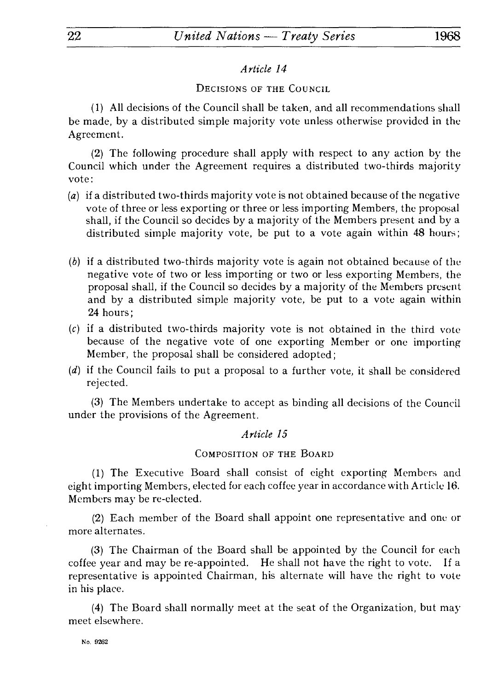## *Article 14*

## DECISIONS OF THE COUNCIL

(1) All decisions of the Council shall be taken, and all recommendations shall be made, by a distributed simple majority vote unless otherwise provided in the Agreement.

(2) The following procedure shall apply with respect to any action by the Council which under the Agreement requires a distributed two-thirds majority vote:

- *(a)* if a distributed two-thirds majority vote is not obtained because of the negative vote of three or less exporting or three or less importing Members, the proposal shall, if the Council so decides by a majority of the Members present and by a distributed simple majority vote, be put to a vote again within 48 hours;
- *(b)* if a distributed two-thirds majority vote is again not obtained because of the negative vote of two or less importing or two or less exporting Members, the proposal shall, if the Council so decides by a majority of the Members present and by a distributed simple majority vote, be put to a vote again within 24 hours ;
- *(c)* if a distributed two-thirds majority vote is not obtained in the third vote because of the negative vote of one exporting Member or one importing Member, the proposal shall be considered adopted ;
- *(d)* if the Council fails to put a proposal to a further vote, it shall be considered rejected.

(3) The Members undertake to accept as binding all decisions of the Council under the provisions of the Agreement.

## *Article 15*

#### COMPOSITION OF THE BOARD

(1) The Executive Board shall consist of eight exporting Members and eight importing Members, elected for each coffee year in accordance with Article 16. Members may be re-elected.

(2) Each member of the Board shall appoint one representative and one or more alternates.

(3) The Chairman of the Board shall be appointed by the Council for each coffee year and may be re-appointed. He shall not have the right to vote. If a representative is appointed Chairman, his alternate will have the right to vote in his place.

(4) The Board shall normally meet at the seat of the Organization, but may meet elsewhere.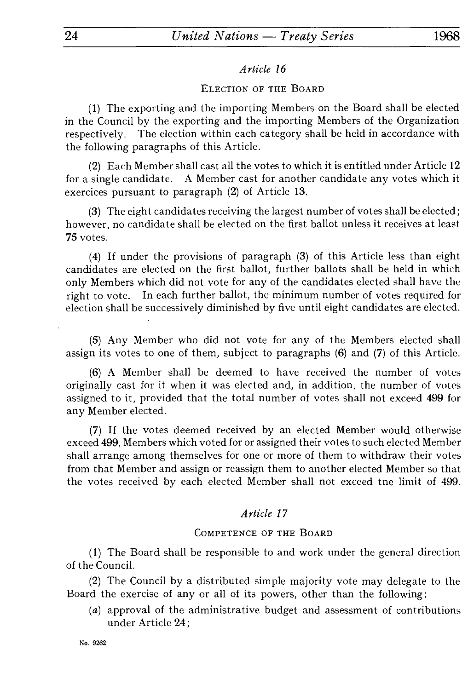## *Article 16*

## ELECTION OF THE BOARD

(1) The exporting and the importing Members on the Board shall be elected in the Council by the exporting and the importing Members of the Organization respectively. The election within each category shall be held in accordance with the following paragraphs of this Article.

(2) Each Member shall cast all the votes to which it is entitled under Article 12 for a single candidate. A Member cast for another candidate any votes which it exercices pursuant to paragraph (2) of Article 13.

(3) The eight candidates receiving the largest number of votes shall be elected ; however, no candidate shall be elected on the first ballot unless it receives at least 75 votes.

(4) If under the provisions of paragraph (3) of this Article less than eight candidates are elected on the first ballot, further ballots shall be held in which only Members which did not vote for any of the candidates elected shall have the right to vote. In each further ballot, the minimum number of votes required for election shall be successively diminished by five until eight candidates are elected.

(5) Any Member who did not vote for any of the Members elected shall assign its votes to one of them, subject to paragraphs (6) and (7) of this Article.

(6) A Member shall be deemed to have received the number of votes originally cast for it when it was elected and, in addition, the number of votes assigned to it, provided that the total number of votes shall not exceed 499 for any Member elected.

(7) If the votes deemed received by an elected Member would otherwise exceed 499, Members which voted for or assigned their votes to such elected Member shall arrange among themselves for one or more of them to withdraw their votes from that Member and assign or reassign them to another elected Member so that the votes received by each elected Member shall not exceed tne limit of 499.

## *Article 17*

#### COMPETENCE OF THE BOARD

(1) The Board shall be responsible to and work under the general direction of the Council.

(2) The Council by a distributed simple majority vote may delegate to the Board the exercise of any or all of its powers, other than the following:

*(a)* approval of the administrative budget and assessment of contributions under Article 24 ;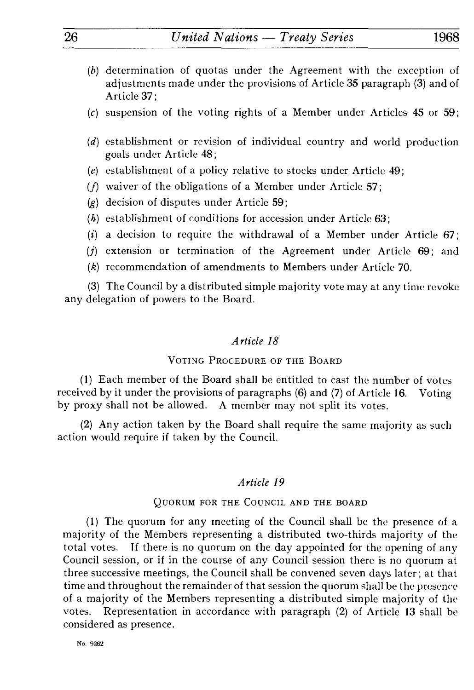- *(b)* determination of quotas under the Agreement with the exception of adjustments made under the provisions of Article 35 paragraph (3) and of Article 37;
- *(c)* suspension of the voting rights of a Member under Articles 45 or 59;
- *(d)* establishment or revision of individual country and world production goals under Article 48;
- *(e)* establishment of a policy relative to stocks under Article 49;
- ( $f$ ) waiver of the obligations of a Member under Article 57;
- *(g)* decision of disputes under Article 59 ;
- *(h)* establishment of conditions for accession under Article 63;
- *(i)* a decision to require the withdrawal of a Member under Article 67;
- $(j)$  extension or termination of the Agreement under Article 69; and
- *(k)* recommendation of amendments to Members under Article 70.

(3) The Council by a distributed simple majority vote may at any time revoke any delegation of powers to the Board.

## *Article 18*

## VOTING PROCEDURE OF THE BOARD

(1) Each member of the Board shall be entitled to cast the number of votes received by it under the provisions of paragraphs (6) and (7) of Article 16. Voting by proxy shall not be allowed. A member may not split its votes.

(2) Any action taken by the Board shall require the same majority as such action would require if taken by the Council.

#### *Article 19*

#### QUORUM FOR THE COUNCIL AND THE BOARD

(1) The quorum for any meeting of the Council shall be the presence of a majority of the Members representing a distributed two-thirds majority of the total votes. If there is no quorum on the day appointed for the opening of any Council session, or if in the course of any Council session there is no quorum at three successive meetings, the Council shall be convened seven days later ; at that time and throughout the remainder of that session the quorum shall be the presence of a majority of the Members representing a distributed simple majority of the votes. Representation in accordance with paragraph (2) of Article 13 shall be considered as presence.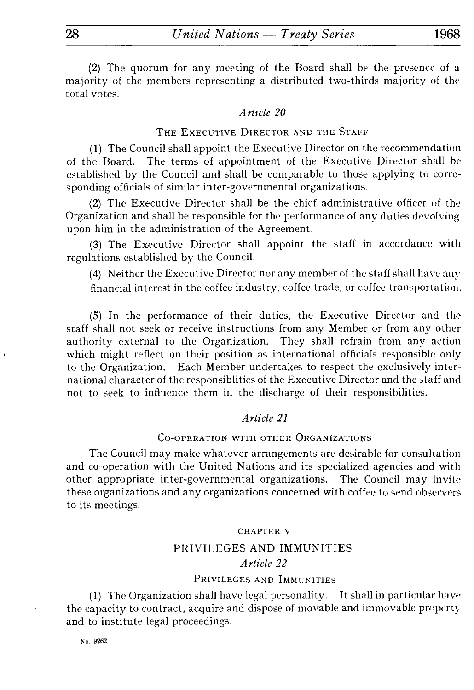(2) The quorum for any meeting of the Board shall be the presence of a majority of the members representing a distributed two-thirds majority of the total votes.

#### *Article 20*

### THE EXECUTIVE DIRECTOR AND THE STAFF

(1) The Council shall appoint the Executive Director on the recommendation of the Board. The terms of appointment of the Executive Director shall be established by the Council and shall be comparable to those applying to corre sponding officials of similar inter-governmental organizations.

(2) The Executive Director shall be the chief administrative officer of the Organization and shall be responsible for the performance of any duties devolving upon him in the administration of the Agreement.

(3) The Executive Director shall appoint the staff in accordance with regulations established by the Council.

(4) Neither the Executive Director nor any member of the staff shall have any

financial interest in the coffee industry, coffee trade, or coffee transportation.

(5) In the performance of their duties, the Executive Director and thestaff shall not seek or receive instructions from any Member or from any other authority external to the Organization. They shall refrain from any action which might reflect on their position as international officials responsible only to the Organization. Each Member undertakes to respect the exclusively inter national character of the responsiblities of the Executive Director and the staff and not to seek to influence them in the discharge of their responsibilities.

## *Article 21*

## CO-OPERATION WITH OTHER ORGANIZATIONS

The Council may make whatever arrangements are desirable for consultation and co-operation with the United Nations and its specialized agencies and with other appropriate inter-governmental organizations. The Council may invite these organizations and any organizations concerned with coffee to send observers to its meetings.

#### CHAPTER v

# PRIVILEGES AND IMMUNITIES

## *Article 22*

## PRIVILEGES AND IMMUNITIES

(1) The Organization shall have legal personality. It shall in particular have the capacity to contract, acquire and dispose of movable and immovable property and to institute legal proceedings.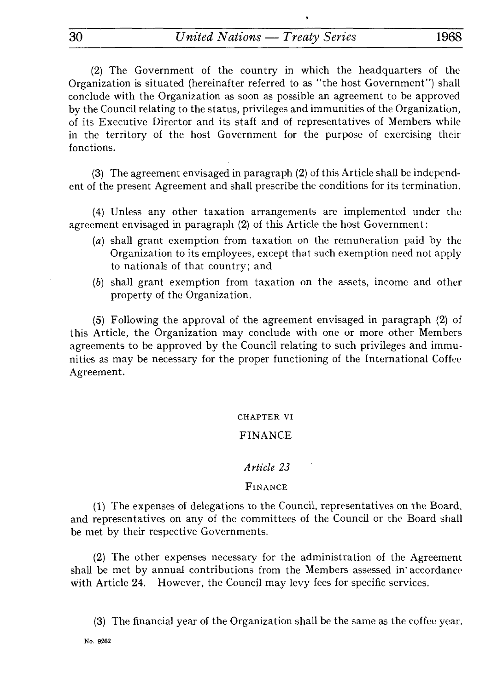(2) The Government of the country in which the headquarters of the Organization is situated (hereinafter referred to as "the host Government") shall conclude with the Organization as soon as possible an agreement to be approved by the Council relating to the status, privileges and immunities of the Organization, of its Executive Director and its staff and of representatives of Members while in the territory of the host Government for the purpose of exercising their fonctions.

(3) The agreement envisaged in paragraph (2) of this Article shall be independ ent of the present Agreement and shall prescribe the conditions for its termination.

(4) Unless any other taxation arrangements are implemented under the agreement envisaged in paragraph (2) of this Article the host Government :

- (a) shall grant exemption from taxation on the remuneration paid by the Organization to its employees, except that such exemption need not apply to nationals of that country; and
- *(b)* shall grant exemption from taxation on the assets, income and other property of the Organization.

(5) Following the approval of the agreement envisaged in paragraph (2) of this Article, the Organization may conclude with one or more other Members agreements to be approved by the Council relating to such privileges and immu nities as may be necessary for the proper functioning of the International Coffee Agreement.

#### CHAPTER VI

## FINANCE

#### *Article 23*

## FINANCE

(1) The expenses of delegations to the Council, representatives on the Board, and representatives on any of the committees of the Council or the Board shall be met by their respective Governments.

(2) The other expenses necessary for the administration of the Agreement shall be met by annual contributions from the Members assessed in' accordance with Article 24. However, the Council may levy fees for specific services.

(3) The financial year of the Organization shall be the same as the coffee year.

No. 9262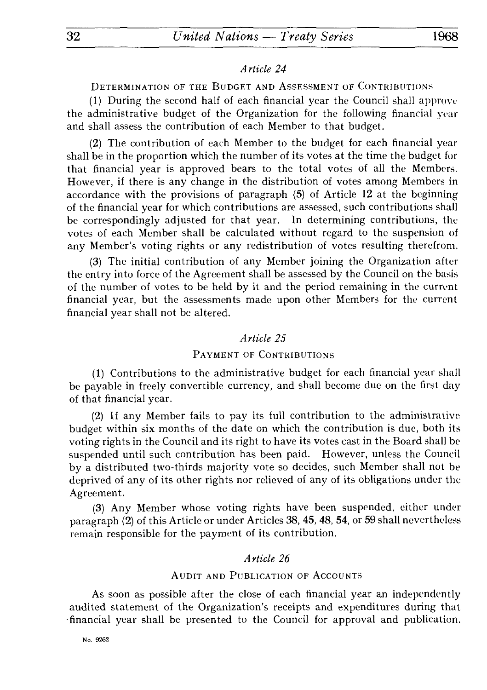## *Article 24*

#### DETERMINATION OF THE BUDGET AND ASSESSMENT OF CONTRIBUTIONS

(1) During the second half of each financial year the Council shall approve the administrative budget of the Organization for the following financial year and shall assess the contribution of each Member to that budget.

(2) The contribution of each Member to the budget for each financial year shall be in the proportion which the number of its votes at the time the budget for that financial year is approved bears to the total votes of all the Members. However, if there is any change in the distribution of votes among Members in accordance with the provisions of paragraph (5) of Article 12 at the beginning of the financial year for which contributions are assessed, such contributions shall be correspondingly adjusted for that year. In determining contributions, the votes of each Member shall be calculated without regard to the suspension of any Member's voting rights or any redistribution of votes resulting therefrom.

(3) The initial contribution of any Member joining the Organization after the entry into force of the Agreement shall be assessed by the Council on the basis of the number of votes to be held by it and the period remaining in the current financial year, but the assessments made upon other Members for the current financial year shall not be altered.

## *Article 25*

## PAYMENT OF CONTRIBUTIONS

(1) Contributions to the administrative budget for each financial year shall be payable in freely convertible currency, and shall become due on the first day of that financial year.

(2) If any Member fails to pay its full contribution to the administrative budget within six months of the date on which the contribution is due, both its voting rights in the Council and its right to have its votes cast in the Board shall be suspended until such contribution has been paid. However, unless the Council by a distributed two-thirds majority vote so decides, such Member shall not be deprived of any of its other rights nor relieved of any of its obligations under the Agreement.

(3) Any Member whose voting rights have been suspended, either under paragraph (2) of this Article or under Articles 38, 45, 48, 54, or 59 shall nevertheless remain responsible for the payment of its contribution.

#### *Article 26*

## AUDIT AND PUBLICATION OF ACCOUNTS

As soon as possible after the close of each financial year an independently audited statement of the Organization's receipts and expenditures during that financial year shall be presented to the Council for approval and publication.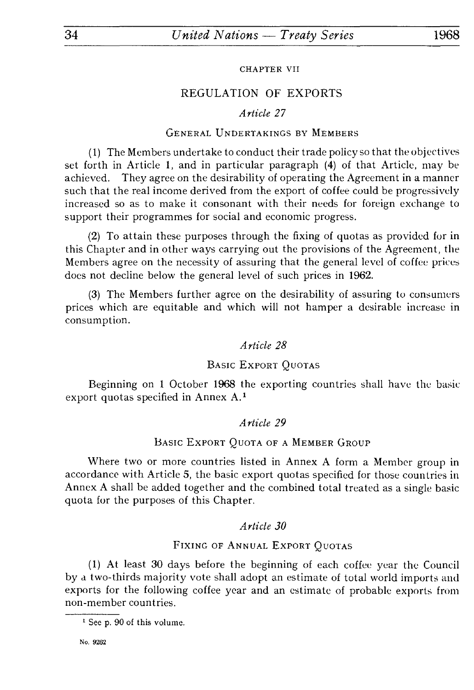#### CHAPTER VII

## REGULATION OF EXPORTS

#### *Article 27*

#### GENERAL UNDERTAKINGS BY MEMBERS

(1) The Members undertake to conduct their trade policy so that the objectives set forth in Article 1, and in particular paragraph (4) of that Article, may be achieved. They agree on the desirability of operating the Agreement in a manner such that the real income derived from the export of coffee could be progressively increased so as to make it consonant with their needs for foreign exchange to support their programmes for social and economic progress.

(2) To attain these purposes through the fixing of quotas as provided for in this Chapter and in other ways carrying out the provisions of the Agreement, the Members agree on the necessity of assuring that the general level of coffee prices does not decline below the general level of such prices in 1962.

(3) The Members further agree on the desirability of assuring to consumers prices which are equitable and which will not hamper a desirable increase in consumption.

#### *Article 28*

#### BASIC EXPORT QUOTAS

Beginning on 1 October 1968 the exporting countries shall have the basic export quotas specified in Annex A.<sup>1</sup>

## *Article 29*

#### BASIC EXPORT QUOTA OF A MEMBER GROUP

Where two or more countries listed in Annex A form a Member group in accordance with Article 5, the basic export quotas specified for those countries in Annex A shall be added together and the combined total treated as a single basic quota for the purposes of this Chapter.

## *Article 30*

#### FIXING OF ANNUAL EXPORT QUOTAS

(1) At least 30 days before the beginning of each coffee year the Council by a two-thirds majority vote shall adopt an estimate of total world imports and exports for the following coffee year and an estimate of probable exports from non-member countries.

<sup>1</sup> See p. 90 of this volume.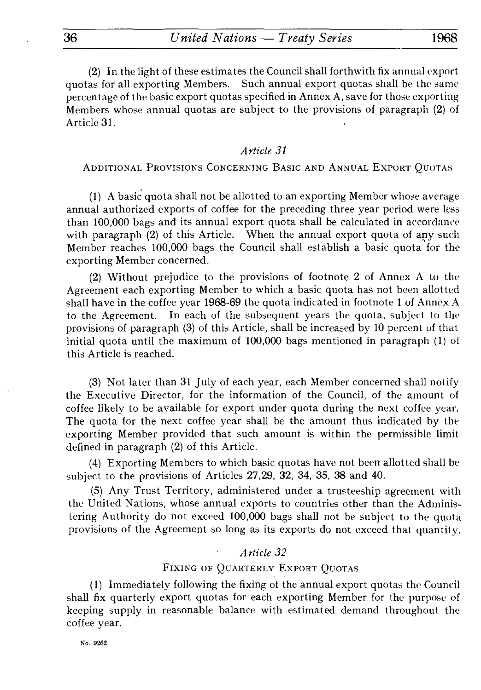(2) In the light of these estimates the Council shall forthwith fix annual export quotas for all exporting Members. Such annual export quotas shall be the same percentage of the basic export quotas specified in Annex A, save for those exporting Members whose annual quotas are subject to the provisions of paragraph (2) of Article 31.

## *Article 31*

ADDITIONAL PROVISIONS CONCERNING BASIC AND ANNUAL EXPORT QUOTAS

(1) A basic quota shall not be allotted to an exporting Member whose average annual authorized exports of coffee for the preceding three year period were less than 100,000 bags and its annual export quota shall be calculated in accordance with paragraph (2) of this Article. When the annual export quota of any such Member reaches 100,000 bags the Council shall establish a basic quota for the exporting Member concerned.

(2) Without prejudice to the provisions of footnote 2 of Annex A to the Agreement each exporting Member to which a basic quota has not been allotted shall have in the coffee year 1968-69 the quota indicated in footnote 1 of Annex A to the Agreement. In each of the subsequent years the quota, subject to the provisions of paragraph (3) of this Article, shall be increased by 10 percent of that initial quota until the maximum of 100,000 bags mentioned in paragraph (1) of this Article is reached.

(3) Not later than 31 July of each year, each Member concerned shall notify the Executive Director, for the information of the Council, of the amount of coffee likely to be available for export under quota during the next coffee year. The quota for the next coffee year shall be the amount thus indicated by the exporting Member provided that such amount is within the permissible limit defined in paragraph (2) of this Article.

(4) Exporting Members to which basic quotas have not been allotted shall be subject to the provisions of Articles 27,29, 32, 34, 35, 38 and 40.

(5) Any Trust Territory, administered under a trusteeship agreement with the United Nations, whose annual exports to countries other than the Adminis tering Authority do not exceed 100,000 bags shall not be subject to the quota provisions of the Agreement so long as its exports do not exceed that quantity.

## *Article 32*

## FIXING OF QUARTERLY EXPORT QUOTAS

(1) Immediately following the fixing of the annual export quotas the Council shall fix quarterly export quotas for each exporting Member for the purpose of keeping supply in reasonable balance with estimated demand throughout the coffee year.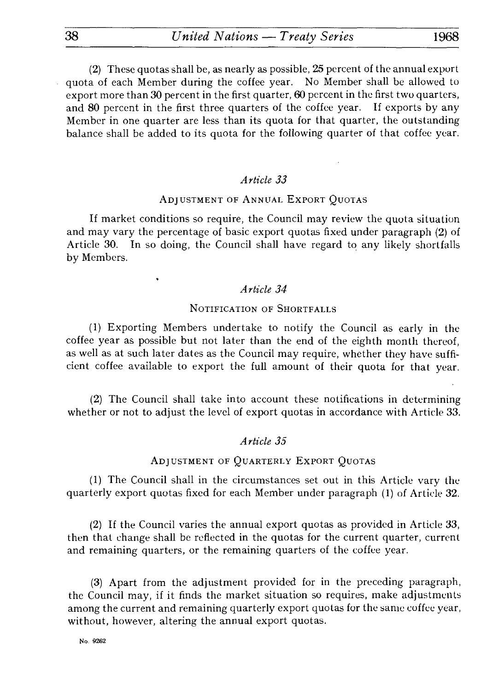(2) These quotas shall be, as nearly as possible,  $25$  percent of the annual export a of each Member during the coffee year. No Member shall be allowed to quota of each Member during the coffee year. export more than 30 percent in the first quarter, 60 percent in the first two quarters, and 80 percent in the first three quarters of the coffee year. If exports by any Member in one quarter are less than its quota for that quarter, the outstanding balance shall be added to its quota for the following quarter of that coffee year.

## *Article 33*

#### ADJUSTMENT OF ANNUAL EXPORT QUOTAS

If market conditions so require, the Council may review the quota situation and may vary the percentage of basic export quotas fixed under paragraph (2) of Article 30. In so doing, the Council shall have regard to any likely shortfalls by Members.

## *Article 34*

## NOTIFICATION OF SHORTFALLS

(1) Exporting Members undertake to notify the Council as early in the coffee year as possible but not later than the end of the eighth month thereof, as well as at such later dates as the Council may require, whether they have suffi cient coffee available to export the full amount of their quota for that year.

(2) The Council shall take into account these notifications in determining whether or not to adjust the level of export quotas in accordance with Article 33.

## *Article 35*

#### ADJUSTMENT OF QUARTERLY EXPORT QUOTAS

(1) The Council shall in the circumstances set out in this Article vary the quarterly export quotas fixed for each Member under paragraph (1) of Article 32.

(2) If the Council varies the annual export quotas as provided in Article 33, then that change shall be reflected in the quotas for the current quarter, current and remaining quarters, or the remaining quarters of the coffee year.

(3) Apart from the adjustment provided for in the preceding paragraph, the Council may, if it finds the market situation so requires, make adjustments among the current and remaining quarterly export quotas for the same coffee year, without, however, altering the annual export quotas.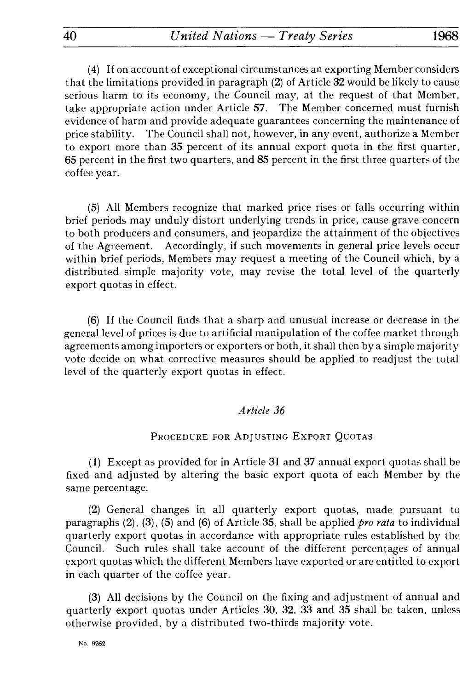(4) If on account of exceptional circumstances an exporting Member considers that the limitations provided in paragraph (2) of Article 32 would be likely to cause serious harm to its economy, the Council may, at the request of that Member, take appropriate action under Article 57. The Member concerned must furnish evidence of harm and provide adequate guarantees concerning the maintenance of price stability. The Council shall not, however, in any event, authorize a Member to export more than 35 percent of its annual export quota in the first quarter, 65 percent in the first two quarters, and 85 percent in the first three quarters of the coffee year.

(5) All Members recognize that marked price rises or falls occurring within brief periods may unduly distort underlying trends in price, cause grave concern to both producers and consumers, and jeopardize the attainment of the objectives of the Agreement. Accordingly, if such movements in general price levels occur within brief periods, Members may request a meeting of the Council which, by a distributed simple majority vote, may revise the total level of the quarterly export quotas in effect.

(6) If the Council finds that a sharp and unusual increase or decrease in the general level of prices is due to artificial manipulation of the coffee market through agreements among importers or exporters or both, it shall then by a simple majority vote decide on what corrective measures should be applied to readjust the total level of the quarterly export quotas in effect.

## *Article 36*

## PROCEDURE FOR ADJUSTING EXPORT QUOTAS

(1) Except as provided for in Article 31 and 37 annual export quotas shall be fixed and adjusted by altering the basic export quota of each Member by the same percentage.

(2) General changes in all quarterly export quotas, made pursuant to paragraphs (2), (3), (5) and (6) of Article 35, shall be applied *pro rata* to individual quarterly export quotas in accordance with appropriate rules established by the Council. Such rules shall take account of the different percentages of annual export quotas which the different Members have exported or are entitled to export in each quarter of the coffee year.

(3) All decisions by the Council on the fixing and adjustment of annual and quarterly export quotas under Articles 30, 32, 33 and 35 shall be taken, unless otherwise provided, by a distributed two-thirds majority vote.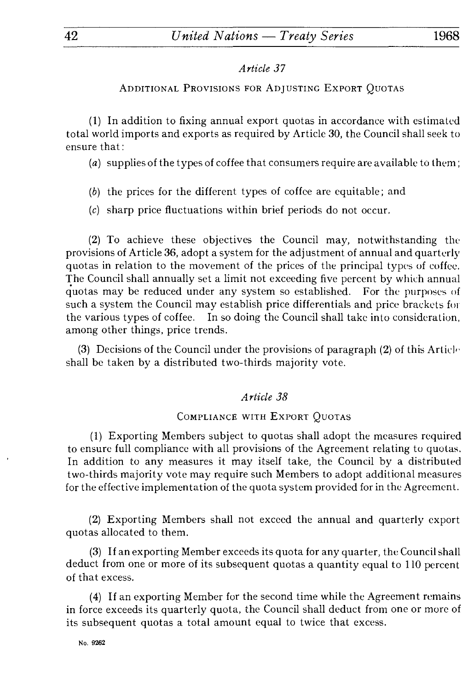## *Article 37*

## ADDITIONAL PROVISIONS FOR ADJUSTING EXPORT QUOTAS

(1) In addition to fixing annual export quotas in accordance with estimated total world imports and exports as required by Article 30, the Council shall seek to ensure that :

(a) supplies of the types of coffee that consumers require are available to them ;

*(b)* the prices for the different types of coffee are equitable ; and

*(c)* sharp price fluctuations within brief periods do not occur.

(2) To achieve these objectives the Council may, notwithstanding the provisions of Article 36, adopt a system for the adjustment of annual and quarterly quotas in relation to the movement of the prices of the principal types of coffee. The Council shall annually set a limit not exceeding five percent by which annual quotas may be reduced under any system so established. For the purposes of such a system the Council may establish price differentials and price brackets for the various types of coffee. In so doing the Council shall take into consideration, among other things, price trends.

(3) Decisions of the Council under the provisions of paragraph  $(2)$  of this Article shall be taken by a distributed two-thirds majority vote.

## *Article 38*

## COMPLIANCE WITH EXPORT QUOTAS

(1) Exporting Members subject to quotas shall adopt the measures required to ensure full compliance with all provisions of the Agreement relating to quotas, In addition to any measures it may itself take, the Council by a distributed two-thirds majority vote may require such Members to adopt additional measures for the effective implementation of the quota system provided for in the Agreement.

(2) Exporting Members shall not exceed the annual and quarterly export quotas allocated to them.

(3) If an exporting Member exceeds its quota for any quarter, the Council shall deduct from one or more of its subsequent quotas a quantity equal to 110 percent of that excess.

(4) If an exporting Member for the second time while the Agreement remains in force exceeds its quarterly quota, the Council shall deduct from one or more of its subsequent quotas a total amount equal to twice that excess.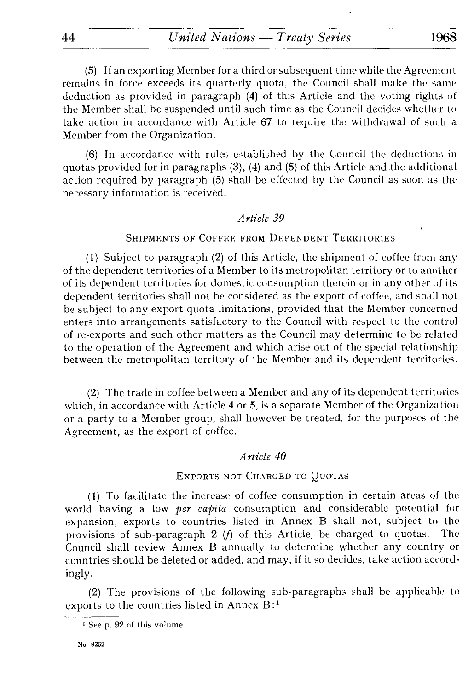(5) If an exporting Member for a third or subsequent time while the Agreement remains in force exceeds its quarterly quota, the Council shall make the same deduction as provided in paragraph (4) of this Article and the voting rights of the Member shall be suspended until such time as the Council decides whether to take action in accordance with Article 67 to require the withdrawal of such a Member from the Organization.

(6) In accordance with rules established by the Council the deductions in quotas provided for in paragraphs  $(3)$ ,  $(4)$  and  $(5)$  of this Article and the additional action required by paragraph (5) shall be effected by the Council as soon as the necessary information is received.

## *Article 39*

#### SHIPMENTS OF COFFEE FROM DEPENDENT TERRITORIES

(1) Subject to paragraph (2) of this Article, the shipment of coffee from any of the dependent territories of a Member to its metropolitan territory or to another of its dependent territories for domestic consumption therein or in any other of its dependent territories shall not be considered as the export of coffee, and shall not be subject to any export quota limitations, provided that the Member concerned enters into arrangements satisfactory to the Council with respect to the control of re-exports and such other matters as the Council may determine to be related to the operation of the Agreement and which arise out of the special relationship between the metropolitan territory of the Member and its dependent territories.

(2) The trade in coffee between a Member and any of its dependent territories which, in accordance with Article 4 or 5, is a separate Member of the Organization or a party to a Member group, shall however be treated, for the purposes of the Agreement, as the export of coffee.

#### *Article 40*

## EXPORTS NOT CHARGED TO QUOTAS

(1) To facilitate the increase of coffee consumption in certain areas of the world having a low *per capita* consumption and considerable potential for expansion, exports to countries listed in Annex B shall not, subject to the provisions of sub-paragraph 2  $(f)$  of this Article, be charged to quotas. The Council shall review Annex B annually to determine whether any country or countries should be deleted or added, and may, if it so decides, take action accord ingly.

(2) The provisions of the following sub-paragraphs shall be applicable to exports to the countries listed in Annex  $B$ :<sup>1</sup>

<sup>1</sup> See p. 92 of this volume.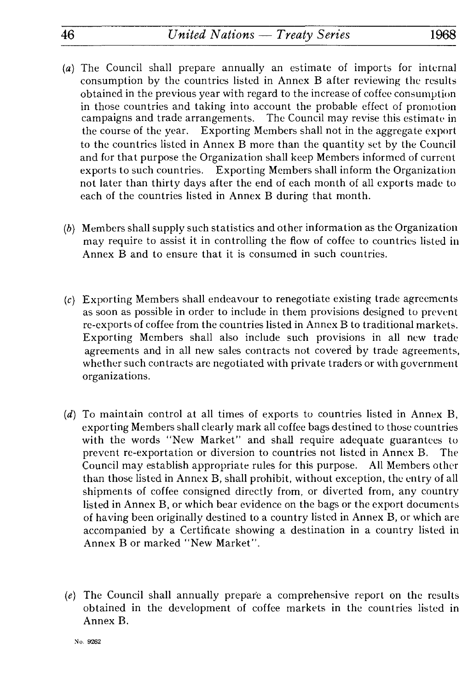- *(a)* The Council shall prepare annually an estimate of imports for internal consumption by the countries listed in Annex B after reviewing the results obtained in the previous year with regard to the increase of coffee consumption in those countries and taking into account the probable effect of promotion campaigns and trade arrangements. The Council may revise this estimate in the course of the year. Exporting Members shall not in the aggregate export to the countries listed in Annex B more than the quantity set by the Council and for that purpose the Organization shall keep Members informed of current exports to such countries. Exporting Members shall inform the Organization not later than thirty days after the end of each month of all exports made to each of the countries listed in Annex B during that month.
- *(b)* Members shall supply such statistics and other information as the Organization may require to assist it in controlling the flow of coffee to countries listed in Annex B and to ensure that it is consumed in such countries.
- *(c)* Exporting Members shall endeavour to renegotiate existing trade agreements as soon as possible in order to include in them provisions designed to prevent re-exports of coffee from the countries listed in Annex B to traditional markets. Exporting Members shall also include such provisions in all new trade agreements and in all new sales contracts not covered by trade agreements, whether such contracts are negotiated with private traders or with government organizations.
- *(d)* To maintain control at all times of exports to countries listed in Annex B, exporting Members shall clearly mark all coffee bags destined to those countries with the words "New Market" and shall require adequate guarantees to prevent re-exportation or diversion to countries not listed in Annex B. The Council may establish appropriate rules for this purpose. All Members other than those listed in Annex B, shall prohibit, without exception, the entry of all shipments of coffee consigned directly from, or diverted from, any country listed in Annex B, or which bear evidence on the bags or the export documents of having been originally destined to a country listed in Annex B, or which are accompanied by a Certificate showing a destination in a country listed in Annex B or marked "New Market".
- *(e)* The Council shall annually prepare a comprehensive report on the results obtained in the development of coffee markets in the countries listed in Annex B.

No. 9262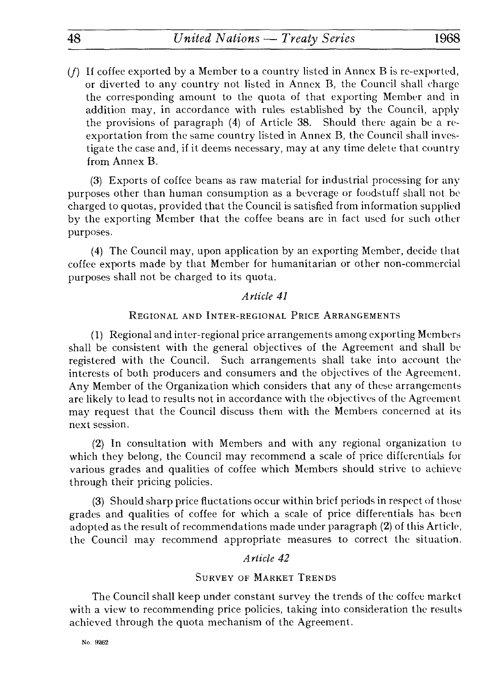$(f)$  If coffee exported by a Member to a country listed in Annex B is re-exported, or diverted to any country not listed in Annex B, the Council shall charge the corresponding amount to the quota of that exporting Member and in addition may, in accordance with rules established by the Council, apply the provisions of paragraph (4) of Article 38. Should there again be a re exportation from the same country listed in Annex B, the Council shall inves tigate the case and, if it deems necessary, may at any time delete that country from Annex B.

(3) Exports of coffee beans as raw material for industrial processing for any purposes other than human consumption as a beverage or foodstuff shall not be charged to quotas, provided that the Council is satisfied from information supplied by the exporting Member that the coffee beans are in fact used for such other purposes.

(4) The Council may, upon application by an exporting Member, decide that coffee exports made by that Member for humanitarian or other non-commercial purposes shall not be charged to its quota.

## *Article 41*

## REGIONAL AND INTER-REGIONAL PRICE ARRANGEMENTS

(1) Regional and inter-regional price arrangements among exporting Members shall be consistent with the general objectives of the Agreement and shall be registered with the Council. Such arrangements shall take into account theinterests of both producers and consumers and the objectives of the Agreement. Any Member of the Organization which considers that any of these arrangements are likely to lead to results not in accordance with the objectives of the Agreement may request that the Council discuss them with the Members concerned at its next session.

(2) In consultation with Members and with any regional organization to which they belong, the Council may recommend a scale of price differentials for various grades and qualities of coffee which Members should strive to achieve through their pricing policies.

(3) Should sharp price fluctations occur within brief periods in respect of those grades and qualities of coffee for which a scale of price differentials has been adopted as the result of recommendations made under paragraph (2) of this Article, the Council may recommend appropriate measures to correct the situation.

## *Article 42*

## SURVEY OF MARKET TRENDS

The Council shall keep under constant survey the trends of the coffee market with a view to recommending price policies, taking into consideration the results achieved through the quota mechanism of the Agreement.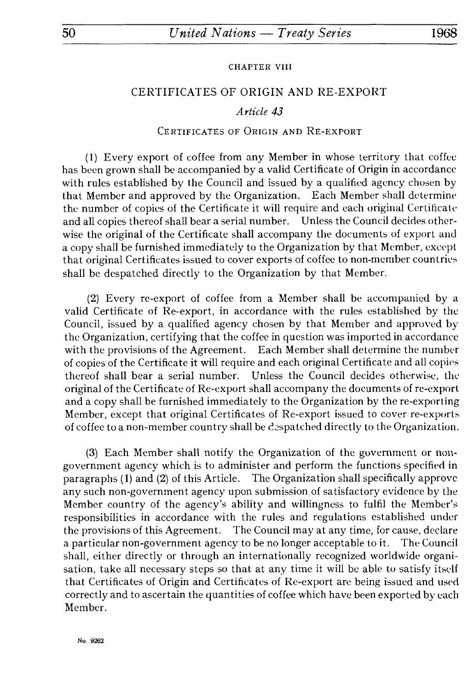#### CHAPTER VIII

## CERTIFICATES OF ORIGIN AND RE-EXPORT

#### *Article 43*

## CERTIFICATES OF ORIGIN AND RE-EXPORT

(1) Every export of coffee from any Member in whose territory that coffee has been grown shall be accompanied by a valid Certificate of Origin in accordance with rules established by the Council and issued by a qualified agency chosen by that Member and approved by the Organization. Each Member shall determine the number of copies of the Certificate it will require and each original Certificate and all copies thereof shall bear a serial number. Unless the Council decides other wise the original of the Certificate shall accompany the documents of export and a copy shall be furnished immediately to the Organization by that Member, except that original Certificates issued to cover exports of coffee to non-member countries shall be despatched directly to the Organization by that Member.

(2) Every re-export of coffee from a Member shall be accompanied by a valid Certificate of Re-export, in accordance with the rules established by the Council, issued by a qualified agency chosen by that Member and approved by the Organization, certifying that the coffee in question was imported in accordance with the provisions of the Agreement. Each Member shall determine the number of copies of the Certificate it will require and each original Certificate and all copies thereof shall bear a serial number. Unless the Council decides otherwise, the original of the Certificate of Re-export shall accompany the documents of re-export and a copy shall be furnished immediately to the Organization by the re-exporting Member, except that original Certificates of Re-export issued to cover re-exports of coffee to a non-member country shall be despatched directly to the Organization.

(3) Each Member shall notify the Organization of the government or non government agency which is to administer and perform the functions specified in paragraphs (1) and (2) of this Article. The Organization shall specifically approve any such non-government agency upon submission of satisfactory evidence by the Member country of the agency's ability and willingness to fulfil the Member's responsibilities in accordance with the rules and regulations established under the provisions of this Agreement. The Council may at any time, for cause, declare a particular non-government agency to be no longer acceptable to it. The Council shall, either directly or through an internationally recognized worldwide organi sation, take all necessary steps so that at any time it will be able to satisfy itself that Certificates of Origin and Certificates of Re-export are being issued and used correctly and to ascertain the quantities of coffee which have been exported by each Member.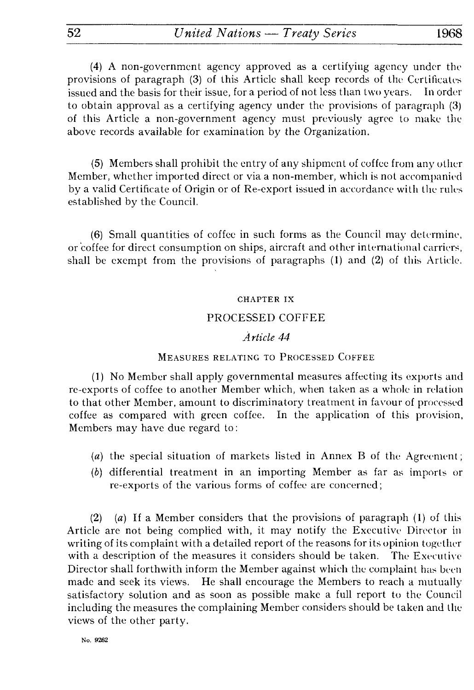(4) A non-government agency approved as a certifying agency under the provisions of paragraph (3) of this Article shall keep records of the Certificates issued and the basis for their issue, for a period of not less than two years. In order to obtain approval as a certifying agency under the provisions of paragraph (3) of this Article a non-government agency must previously agree to make the above records available for examination by the Organization.

(5) Members shall prohibit the entry of any shipment of coffee from any other Member, whether imported direct or via a non-member, which is not accompanied by a valid Certificate of Origin or of Re-export issued in accordance with the rules established by the Council.

(6) Small quantities of coffee in such forms as the Council may determine, or coffee for direct consumption on ships, aircraft and other international carriers, shall be exempt from the provisions of paragraphs (1) and (2) of this Article.

#### **CHAPTER IX**

#### PROCESSED COFFEE

## *Article 44*

## MEASURES RELATING TO PROCESSED COFFEE

(1) No Member shall apply governmental measures affecting its exports and re-exports of coffee to another Member which, when taken as a whole in relation to that other Member, amount to discriminatory treatment in favour of processed coffee as compared with green coffee. In the application of this provision, Members may have due regard to :

- *(a)* the special situation of markets listed in Annex B of the Agreement ;
- *(b)* differential treatment in an importing Member as far as imports or re-exports of the various forms of coffee are concerned ;

(2) *(a)* If a Member considers that the provisions of paragraph (1) of this Article are not being complied with, it may notify the Executive Director in writing of its complaint with a detailed report of the reasons for its opinion together with a description of the measures it considers should be taken. The Executive Director shall forthwith inform the Member against which the complaint has been made and seek its views. He shall encourage the Members to reach a mutually satisfactory solution and as soon as possible make a full report to the Council including the measures the complaining Member considers should be taken and the views of the other party.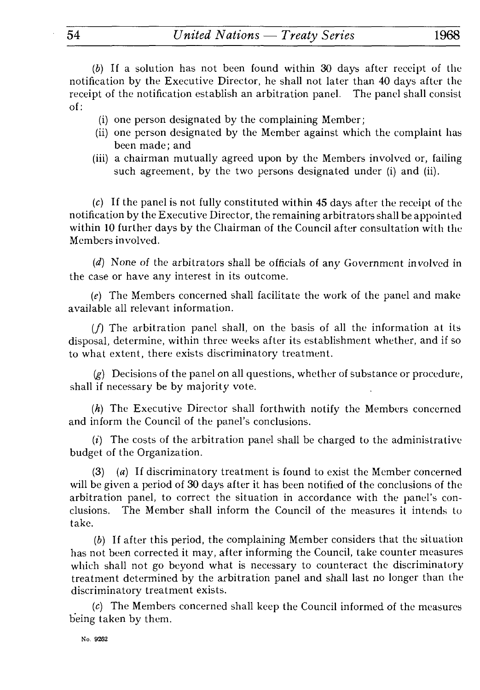*(b)* If a solution has not been found within 30 days after receipt of the notification by the Executive Director, he shall not later than 40 days after the receipt of the notification establish an arbitration panel. The panel shall consist of:

- (i) one person designated by the complaining Member;
- (ii) one person designated by the Member against which the complaint has been made ; and
- (iii) a chairman mutually agreed upon by the Members involved or, failing such agreement, by the two persons designated under (i) and (ii).

*(c)* If the panel is not fully constituted within 45 days after the receipt of the notification by the Executive Director, the remaining arbitrators shall be appointed within 10 further days by the Chairman of the Council after consultation with the Members involved.

*(d)* None of the arbitrators shall be officials of any Government involved in the case or have any interest in its outcome.

*(e)* The Members concerned shall facilitate the work of the panel and make available all relevant information.

 $(f)$  The arbitration panel shall, on the basis of all the information at its disposal, determine, within three weeks after its establishment whether, and if so to what extent, there exists discriminatory treatment.

*(g)* Decisions of the panel on all questions, whether of substance or procedure, shall if necessary be by majority vote.

(A) The Executive Director shall forthwith notify the Members concerned and inform the Council of the panel's conclusions.

*(i)* The costs of the arbitration panel shall be charged to the administrative budget of the Organization.

(3) *(a)* If discriminatory treatment is found to exist the Member concerned will be given a period of 30 days after it has been notified of the conclusions of the arbitration panel, to correct the situation in accordance with the panel's con clusions. The Member shall inform the Council of the measures it intends to take.

*(b)* If after this period, the complaining Member considers that the situation has not been corrected it may, after informing the Council, take counter measures which shall not go beyond what is necessary to counteract the discriminatory treatment determined by the arbitration panel and shall last no longer than the discriminatory treatment exists.

*(c)* The Members concerned shall keep the Council informed of the measures being taken by them.

**No. 9262**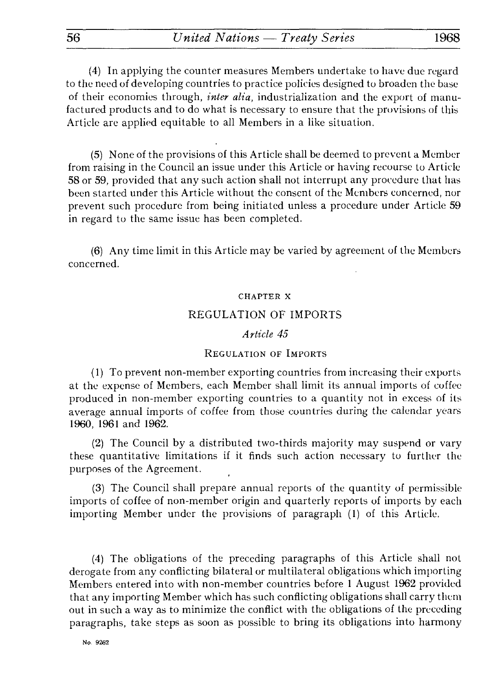(4) In applying the counter measures Members undertake to have due regard to the need of developing countries to practice policies designed to broaden the base of their economies through, *inter alia,* industrialization and the export of manu factured products and to do what is necessary to ensure that the provisions of this Article are applied equitable to all Members in a like situation.

(5) None of the provisions of this Article shall be deemed to prevent a Member from raising in the Council an issue under this Article or having recourse to Article 58 or 59, provided that any such action shall not interrupt any procedure that has been started under this Article without the consent of the Members concerned, nor prevent such procedure from being initiated unless a procedure under Article 59 in regard to the same issue has been completed.

(6) Any time limit in this Article may be varied by agreement of the Members concerned.

#### CHAPTER x

#### REGULATION OF IMPORTS

#### *Article 45*

#### REGULATION OF IMPORTS

(1) To prevent non-member exporting countries from increasing their exports at the expense of Members, each Member shall limit its annual imports of coffee produced in non-member exporting countries to a quantity not in excess of its average annual imports of coffee from those countries during the calendar years 1960, 1961 and 1962.

(2) The Council by a distributed two-thirds majority may suspend or vary these quantitative limitations if it finds such action necessary to further the purposes of the Agreement.

(3) The Council shall prepare annual reports of the quantity of permissible imports of coffee of non-member origin and quarterly reports of imports by each importing Member under the provisions of paragraph (1) of this Article.

(4) The obligations of the preceding paragraphs of this Article shall not derogate from any conflicting bilateral or multilateral obligations which importing Members entered into with non-member countries before 1 August 1962 provided that any importing Member which has such conflicting obligations shall carry them out in such a way as to minimize the conflict with the obligations of the preceding paragraphs, take steps as soon as possible to bring its obligations into harmony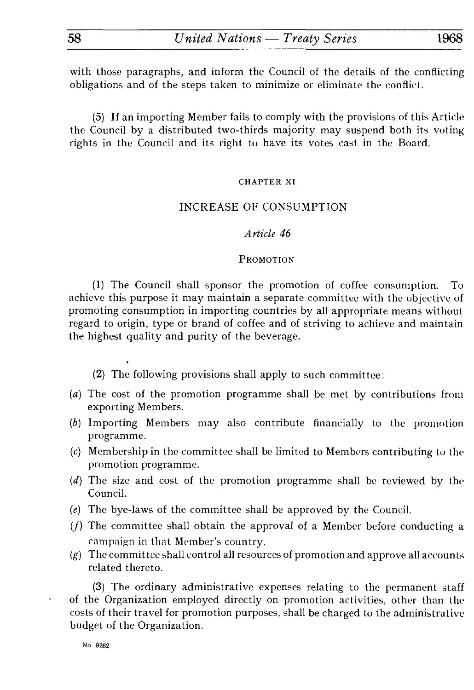with those paragraphs, and inform the Council of the details of the conflicting obligations and of the steps taken to minimize or eliminate the conflict.

(5) If an importing Member fails to comply with the provisions of this Article the Council by a distributed two-thirds majority may suspend both its voting rights in the Council and its right to have its votes cast in the Board.

#### CHAPTER XI

## INCREASE OF CONSUMPTION

## *Article 46*

#### PROMOTION

(1) The Council shall sponsor the promotion of coffee consumption. To achieve this purpose it may maintain a separate committee with the objective of promoting consumption in importing countries by all appropriate means without regard to origin, type or brand of coffee and of striving to achieve and maintain the highest quality and purity of the beverage.

(2) The following provisions shall apply to such committee :

- *(a)* The cost of the promotion programme shall be met by contributions from exporting Members.
- *(b)* Importing Members may also contribute financially to the promotion programme.
- *(c)* Membership in the committee shall be limited to Members contributing to the promotion programme.
- *(d)* The size and cost of the promotion programme shall be reviewed by the Council.
- *(e)* The bye-laws of the committee shall be approved by the Council.
- $(f)$  The committee shall obtain the approval of a Member before conducting a rampnign in that Member's country.
- *(g)* The committee shall control all resources of promotion and approve all accounts related thereto.

(3) The ordinary administrative expenses relating to the permanent staff of the Organization employed directly on promotion activities, other than the costs of their travel for promotion purposes, shall be charged to the administrative budget of the Organization.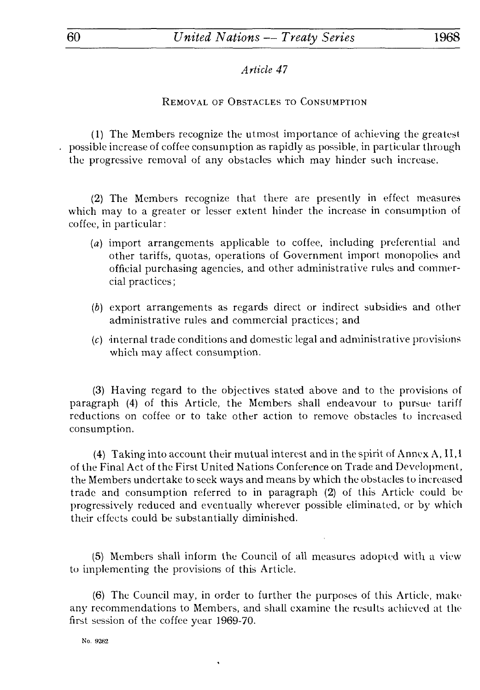## *Article 47*

## REMOVAL OF OBSTACLES TO CONSUMPTION

(1) The Members recognize the utmost importance of achieving the greatest possible increase of coffee consumption as rapidly as possible, in particular through the progressive removal of any obstacles which may hinder such increase.

(2) The Members recognize that there are presently in effect measures which may to a greater or lesser extent hinder the increase in consumption of coffee, in particular :

- *(a)* import arrangements applicable to coffee, including preferential and other tariffs, quotas, operations of Government import monopolies and official purchasing agencies, and other administrative rules and commer cial practices;
- *(b)* export arrangements as regards direct or indirect subsidies and other administrative rules and commercial practices; and
- *(c)* internal trade conditions and domestic legal and administrative provisions which may affect consumption.

(3) Having regard to the objectives stated above and to the provisions of paragraph (4) of this Article, the Members shall endeavour to pursue tariff reductions on coffee or to take other action to remove obstacles to increased consumption.

(4) Taking into account their mutual interest and in the spirit of Annex A,  $II, I$ of the Final Act of the First United Nations Conference on Trade and Development, the Members undertake to seek ways and means by which the obstacles to increased trade and consumption referred to in paragraph (2) of this Article could be progressively reduced and eventually wherever possible eliminated, or by which their effects could be substantially diminished.

(5) Members shall inform the Council of all measures adopted with a view to implementing the provisions of this Article.

(6) The Council may, in order to further the purposes of this Article, make any recommendations to Members, and shall examine the results achieved at thefirst session of the coffee year 1969-70.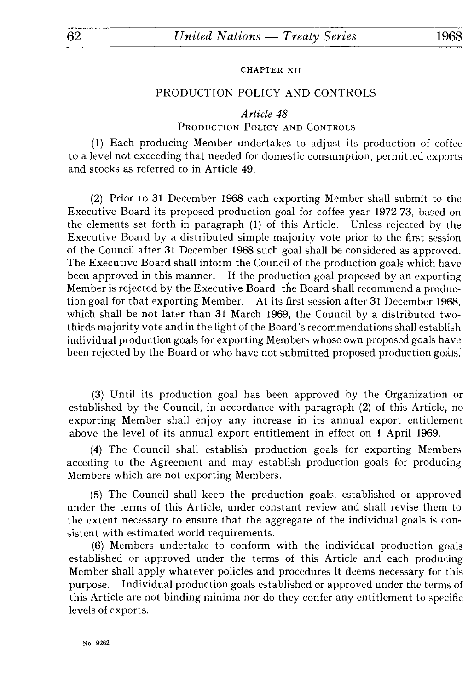## PRODUCTION POLICY AND CONTROLS

## *Article 48*

## PRODUCTION POLICY AND CONTROLS

(1) Each producing Member undertakes to adjust its production of coffee to a level not exceeding that needed for domestic consumption, permitted exports and stocks as referred to in Article 49.

(2) Prior to 31 December 1968 each exporting Member shall submit to the Executive Board its proposed production goal for coffee year 1972-73, based on the elements set forth in paragraph (1) of this Article. Unless rejected by the Executive Board by a distributed simple majority vote prior to the first session of the Council after 31 December 1968 such goal shall be considered as approved. The Executive Board shall inform the Council of the production goals which have been approved in this manner. If the production goal proposed by an exporting Member is rejected by the Executive Board, the Board shall recommend a produc tion goal for that exporting Member. At its first session after 31 December 1968, which shall be not later than 31 March 1969, the Council by a distributed twothirds majority vote and in the light of the Board's recommendations shall establish individual production goals for exporting Members whose own proposed goals have been rejected by the Board or who have not submitted proposed production goals.

(3) Until its production goal has been approved by the Organization or established by the Council, in accordance with paragraph (2) of this Article, no exporting Member shall enjoy any increase in its annual export entitlement above the level of its annual export entitlement in effect on 1 April 1969.

(4) The Council shall establish production goals for exporting Members acceding to the Agreement and may establish production goals for producing Members which are not exporting Members.

(5) The Council shall keep the production goals, established or approved under the terms of this Article, under constant review and shall revise them to the extent necessary to ensure that the aggregate of the individual goals is con sistent with estimated world requirements.

(6) Members undertake to conform with the individual production goals established or approved under the terms of this Article and each producing Member shall apply whatever policies and procedures it deems necessary for this purpose. Individual production goals established or approved under the terms of this Article are not binding minima nor do they confer any entitlement to specific levels of exports.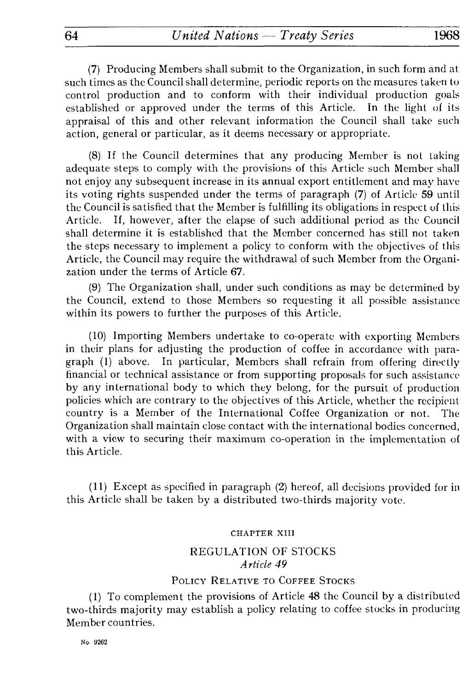(7) Producing Members shall submit to the Organization, in such form and at such times as the Council shall determine, periodic reports on the measures taken to control production and to conform with their individual production goals established or approved under the terms of this Article. In the light of its appraisal of this and other relevant information the Council shall take such action, general or particular, as it deems necessary or appropriate.

(8) If the Council determines that any producing Member is not taking adequate steps to comply with the provisions of this Article such Member shall not enjoy any subsequent increase in its annual export entitlement and may have its voting rights suspended under the terms of paragraph (7) of Article 59 until the Council is satisfied that the Member is fulfilling its obligations in respect of this Article. If, however, after the elapse of such additional period as the Council shall determine it is established that the Member concerned has still not taken the steps necessary to implement a policy to conform with the objectives of this Article, the Council may require the withdrawal of such Member from the Organi zation under the terms of Article 67.

(9) The Organization shall, under such conditions as may be determined by the Council, extend to those Members so requesting it all possible assistance within its powers to further the purposes of this Article.

(10) Importing Members undertake to co-operate with exporting Members in their plans for adjusting the production of coffee in accordance with para graph (1) above. In particular, Members shall refrain from offering directly financial or technical assistance or from supporting proposals for such assistance by any international body to which they belong, for the pursuit of production policies which are contrary to the objectives of this Article, whether the recipient country is a Member of the International Coffee Organization or not. The Organization shall maintain close contact with the international bodies concerned, with a view to securing their maximum co-operation in the implementation of this Article.

(11) Except as specified in paragraph (2) hereof, all decisions provided for in this Article shall be taken by a distributed two-thirds majority vote.

#### **CHAPTER XIII**

## REGULATION OF STOCKS *Article 49*

## POLICY RELATIVE TO COFFEE STOCKS

(1) To complement the provisions of Article 48 the Council by a distributed two-thirds majority may establish a policy relating to coffee stocks in producing Member countries.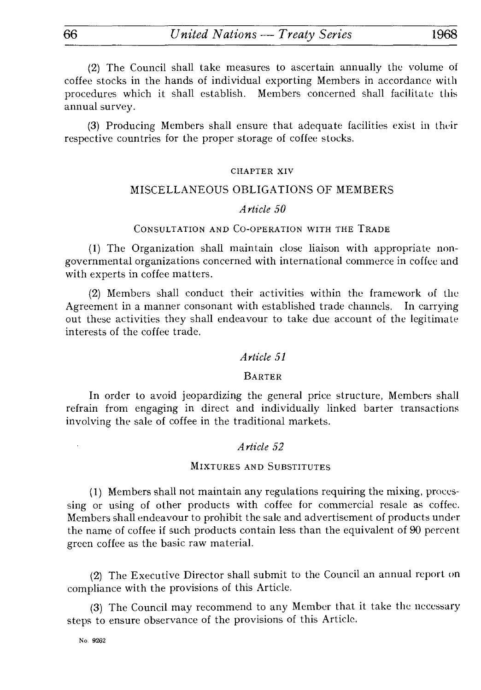(2) The Council shall take measures to ascertain annually the volume of coffee stocks in the hands of individual exporting Members in accordance with procedures which it shall establish. Members concerned shall facilitate this annual survey.

(3) Producing Members shall ensure that adequate facilities exist in their respective countries for the proper storage of coffee stocks.

#### **CHAPTER XIV**

## MISCELLANEOUS OBLIGATIONS OF MEMBERS

## *Article 50*

## CONSULTATION AND CO-OPERATION WITH THE TRADE

(1) The Organization shall maintain close liaison with appropriate non governmental organizations concerned with international commerce in coffee and with experts in coffee matters.

(2) Members shall conduct their activities within the framework of the Agreement in a manner consonant with established trade channels. In carrying out these activities they shall endeavour to take due account of the legitimate interests of the coffee trade.

## *Article 51*

## BARTER

In order to avoid jeopardizing the general price structure, Members shall refrain from engaging in direct and individually linked barter transactions involving the sale of coffee in the traditional markets.

## *Article 52*

#### MIXTURES AND SUBSTITUTES

(1) Members shall not maintain any regulations requiring the mixing, proces sing or using of other products with coffee for commercial resale as coffee. Members shall endeavour to prohibit the sale and advertisement of products under the name of coffee if such products contain less than the equivalent of 90 percent green coffee as the basic raw material.

(2) The Executive Director shall submit to the Council an annual report on compliance with the provisions of this Article.

(3) The Council may recommend to any Member that it take the necessary steps to ensure observance of the provisions of this Article.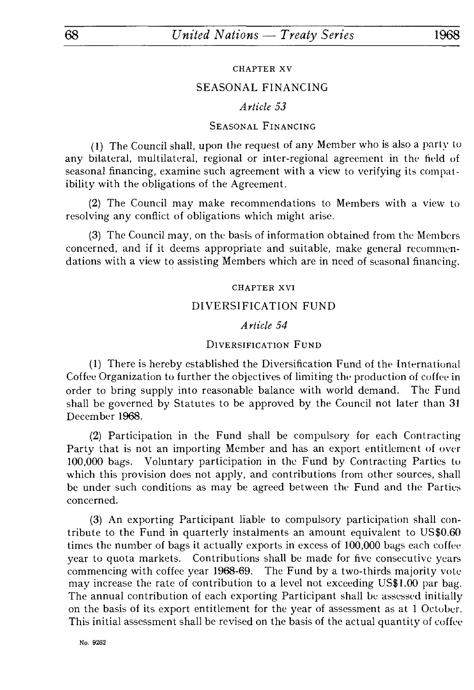#### **CHAPTER XV**

#### SEASONAL FINANCING

#### *Article 53*

## SEASONAL FINANCING

(1) The Council shall, upon the request of any Member who is also a party to any bilateral, multilateral, regional or inter-regional agreement in the field of seasonal financing, examine such agreement with a view to verifying its compat ibility with the obligations of the Agreement.

(2) The Council may make recommendations to Members with a view to resolving any conflict of obligations which might arise.

(3) The Council may, on the basis of information obtained from the Members concerned, and if it deems appropriate and suitable, make general recommen dations with a view to assisting Members which are in need of seasonal financing.

#### **CHAPTER XVI**

#### DIVERSIFICATION FUND

#### *Article 54*

#### DIVERSIFICATION FUND

(1) There is hereby established the Diversification Fund of the International Coffee Organization to further the objectives of limiting the production of coffee in order to bring supply into reasonable balance with world demand. The Fund shall be governed by Statutes to be approved by the Council not later than 31 December 1968.

(2) Participation in the Fund shall be compulsory for each Contracting Party that is not an importing Member and has an export entitlement of over 100,000 bags. Voluntary participation in the Fund by Contracting Parties to which this provision does not apply, and contributions from other sources, shall be under such conditions as may be agreed between the Fund and the Parties concerned.

(3) An exporting Participant liable to compulsory participation shall con tribute to the Fund in quarterly instalments an amount equivalent to US\$0.60 times the number of bags it actually exports in excess of 100,000 bags each coffee year to quota markets. Contributions shall be made for five consecutive years commencing with coffee year 1968-69. The Fund by a two-thirds majority vote may increase the rate of contribution to a level not exceeding US\$1.00 par bag. The annual contribution of each exporting Participant shall be assessed initially on the basis of its export entitlement for the year of assessment as at 1 October. This initial assessment shall be revised on the basis of the actual quantity of coffee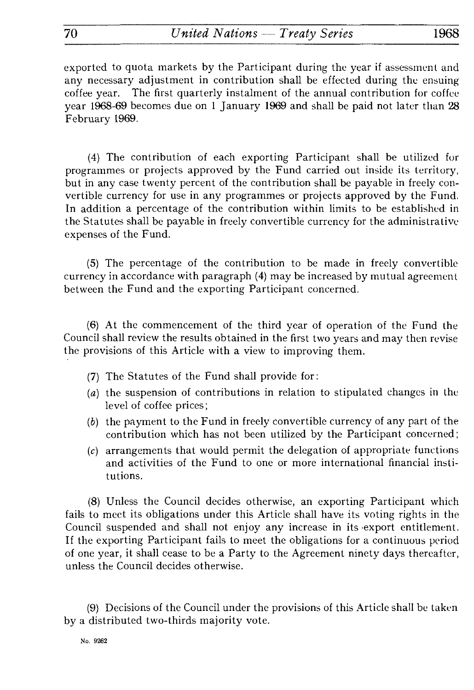exported to quota markets by the Participant during the year if assessment and any necessary adjustment in contribution shall be effected during the ensuing coffee year. The first quarterly instalment of the annual contribution for coffee year 1968-69 becomes due on 1 January 1969 and shall be paid not later than 28 February 1969.

(4) The contribution of each exporting Participant shall be utilized for programmes or projects approved by the Fund carried out inside its territory, but in any case twenty percent of the contribution shall be payable in freely con vertible currency for use in any programmes or projects approved by the Fund. In addition a percentage of the contribution within limits to be established in the Statutes shall be payable in freely convertible currency for the administrative expenses of the Fund.

(5) The percentage of the contribution to be made in freely convertible currency in accordance with paragraph (4) may be increased by mutual agreement between the Fund and the exporting Participant concerned.

(6) At the commencement of the third year of operation of the Fund the Council shall review the results obtained in the first two years and may then revise the provisions of this Article with a view to improving them.

- (7) The Statutes of the Fund shall provide for:
- *(a)* the suspension of contributions in relation to stipulated changes in the level of coffee prices ;
- (6) the payment to the Fund in freely convertible currency of any part of the contribution which has not been utilized by the Participant concerned;
- *(c)* arrangements that would permit the delegation of appropriate functions and activities of the Fund to one or more international financial insti tutions.

(8) Unless the Council decides otherwise, an exporting Participant which fails to meet its obligations under this Article shall have its voting rights in the Council suspended and shall not enjoy any increase in its 'export entitlement. If the exporting Participant fails to meet the obligations for a continuous period of one year, it shall cease to be a Party to the Agreement ninety days thereafter, unless the Council decides otherwise.

(9) Decisions of the Council under the provisions of this Article shall be taken by a distributed two-thirds majority vote.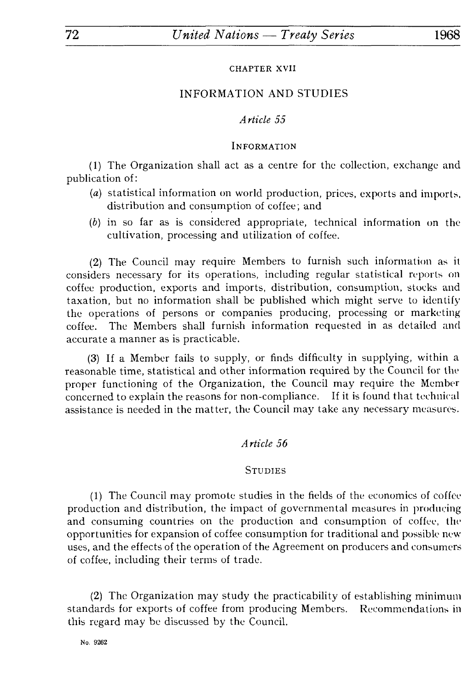#### CHAPTER XVII

## INFORMATION AND STUDIES

## *Article 55*

#### INFORMATION

(1) The Organization shall act as a centre for the collection, exchange and publication of:

- *(a)* statistical information on world production, prices, exports and imports, distribution and consumption of coffee; and
- *(b)* in so far as is considered appropriate, technical information on the cultivation, processing and utilization of coffee.

(2) The Council may require Members to furnish such information as it considers necessary for its operations, including regular statistical reports on coffee production, exports and imports, distribution, consumption, stocks and taxation, but no information shall be published which might serve to identify the operations of persons or companies producing, processing or marketing coffee. The Members shall furnish information requested in as detailed and accurate a manner as is practicable.

(3) If a Member fails to supply, or finds difficulty in supplying, within a reasonable time, statistical and other information required by the Council for the proper functioning of the Organization, the Council may require the Member concerned to explain the reasons for non-compliance. If it is found that technical assistance is needed in the matter, the Council may take any necessary measures.

#### *Article 56*

#### **STUDIES**

(1) The Council may promote studies in the fields of the economics of coffee production and distribution, the impact of governmental measures in producing and consuming countries on the production and consumption of coffee, the opportunities for expansion of coffee consumption for traditional and possible new uses, and the effects of the operation of the Agreement on producers and consumers of coffee, including their terms of trade.

(2) The Organization may study the practicability of establishing minimum standards for exports of coffee from producing Members. Recommendations in this regard may be discussed by the Council.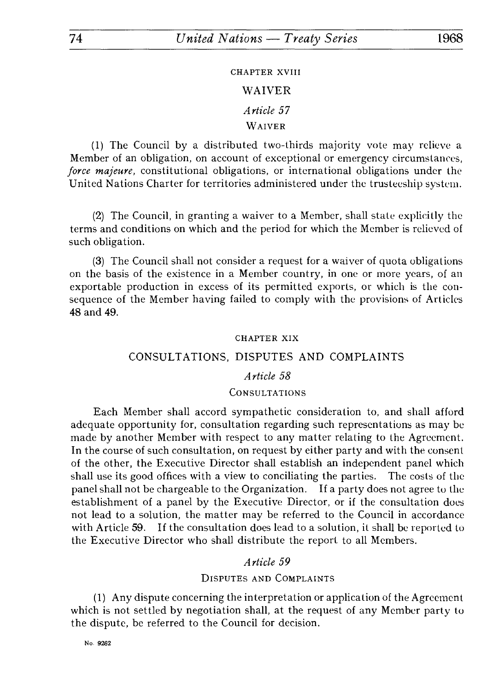CHAPTER XVIII WAIVER *Article 57*  **WAIVER** 

(1) The Council by a distributed two-thirds majority vote may relieve a Member of an obligation, on account of exceptional or emergency circumstances, *force majeure,* constitutional obligations, or international obligations under the United Nations Charter for territories administered under the trusteeship system.

(2) The Council, in granting a waiver to a Member, shall state explicitly the terms and conditions on which and the period for which the Member is relieved of such obligation.

(3) The Council shall not consider a request for a waiver of quota obligations on the basis of the existence in a Member country, in one or more years, of an exportable production in excess of its permitted exports, or which is the con sequence of the Member having failed to comply with the provisions of Articles 48 and 49.

#### CHAPTER XIX

## CONSULTATIONS, DISPUTES AND COMPLAINTS

#### *Article 58*

#### CONSULTATIONS

Each Member shall accord sympathetic consideration to, and shall afford adequate opportunity for, consultation regarding such representations as may be made by another Member with respect to any matter relating to the Agreement. In the course of such consultation, on request by either party and with the consent of the other, the Executive Director shall establish an independent panel which shall use its good offices with a view to conciliating the parties. The costs of the panel shall not be chargeable to the Organization. If a party does not agree to the establishment of a panel by the Executive Director, or if the consultation does not lead to a solution, the matter may be referred to the Council in accordance with Article 59. If the consultation does lead to a solution, it shall be reported to the Executive Director who shall distribute the report to all Members.

#### *Article 59*

#### DISPUTES AND COMPLAINTS

(1) Any dispute concerning the interpretation or application of the Agreement which is not settled by negotiation shall, at the request of any Member party to the dispute, be referred to the Council for decision.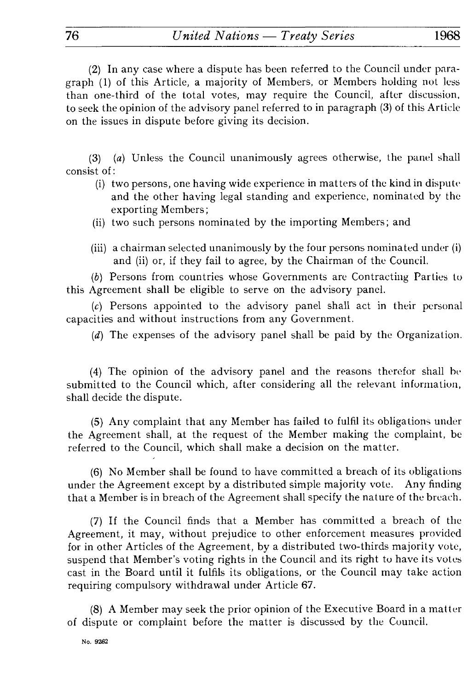(2) In any case where a dispute has been referred to the Council under para graph (1) of this Article, a majority of Members, or Members holding not less than one-third of the total votes, may require the Council, after discussion, to seek the opinion of the advisory panel referred to in paragraph (3) of this Article on the issues in dispute before giving its decision.

(3) *(a)* Unless the Council unanimously agrees otherwise, the panel shall consist of :

- (i) two persons, one having wide experience in matters of the kind in dispute and the other having legal standing and experience, nominated by theexporting Members ;
- (ii) two such persons nominated by the importing Members ; and
- (iii) a chairman selected unanimously by the four persons nominated under (i) and (ii) or, if they fail to agree, by the Chairman of the Council.

*(b)* Persons from countries whose Governments are Contracting Parties to this Agreement shall be eligible to serve on the advisory panel.

*(c)* Persons appointed to the advisory panel shall act in their personal capacities and without instructions from any Government.

*(d)* The expenses of the advisory panel shall be paid by the Organization.

(4) The opinion of the advisory panel and the reasons therefor shall be submitted to the Council which, after considering all the relevant information, shall decide the dispute.

(5) Any complaint that any Member has failed to fulfil its obligations under the Agreement shall, at the request of the Member making the complaint, be referred to the Council, which shall make a decision on the matter.

(6) No Member shall be found to have committed a breach of its obligations under the Agreement except by a distributed simple majority vote. Any finding that a Member is in breach of the Agreement shall specify the nature of the breach.

(7) If the Council finds that a Member has committed a breach of the Agreement, it may, without prejudice to other enforcement measures provided for in other Articles of the Agreement, by a distributed two-thirds majority vote, suspend that Member's voting rights in the Council and its right to have its votes cast in the Board until it fulfils its obligations, or the Council may take action requiring compulsory withdrawal under Article 67.

(8) A Member may seek the prior opinion of the Executive Board in a matter of dispute or complaint before the matter is discussed by the Council.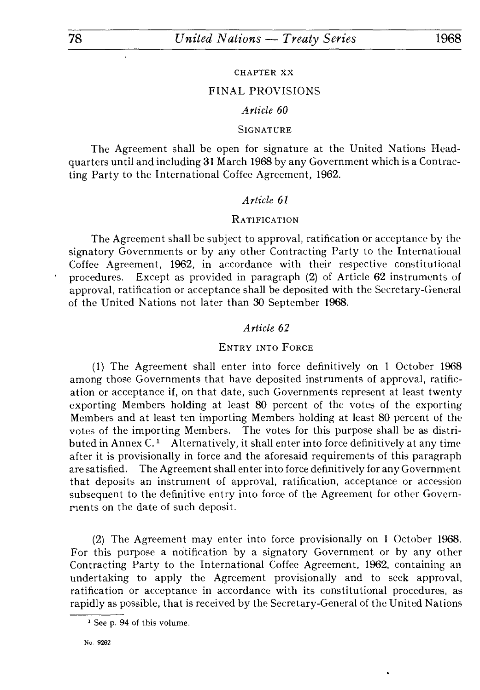#### CHAPTER XX

#### FINAL PROVISIONS

## *Article 60*

#### **SIGNATURE**

The Agreement shall be open for signature at the United Nations Head quarters until and including 31 March 1968 by any Government which is a Contrac ting Party to the International Coffee Agreement, 1962.

#### *Article 61*

#### RATIFICATION

The Agreement shall be subject to approval, ratification or acceptance by the signatory Governments or by any other Contracting Party to the International Coffee Agreement, 1962, in accordance with their respective constitutional procedures. Except as provided in paragraph (2) of Article 62 instruments of approval, ratification or acceptance shall be deposited with the Secretary-General of the United Nations not later than 30 September 1968.

#### *Article 62*

## ENTRY INTO FORCE

(1) The Agreement shall enter into force definitively on 1 October 1968 among those Governments that have deposited instruments of approval, ratific ation or acceptance if, on that date, such Governments represent at least twenty exporting Members holding at least 80 percent of the votes of the exporting Members and at least ten importing Members holding at least 80 percent of the votes of the importing Members. The votes for this purpose shall be as distri buted in Annex  $C<sup>1</sup>$  Alternatively, it shall enter into force definitively at any time after it is provisionally in force and the aforesaid requirements of this paragraph are satisfied. The Agreement shall enter into force definitively for any Government that deposits an instrument of approval, ratification, acceptance or accession subsequent to the definitive entry into force of the Agreement for other Govern ments on the date of such deposit.

(2) The Agreement may enter into force provisionally on 1 October 1968. For this purpose a notification by a signatory Government or by any other Contracting Party to the International Coffee Agreement, 1962, containing an undertaking to apply the Agreement provisionally and to seek approval, ratification or acceptance in accordance with its constitutional procedures, as rapidly as possible, that is received by the Secretary-General of the United Nations

<sup>1</sup> See p. 94 of this volume.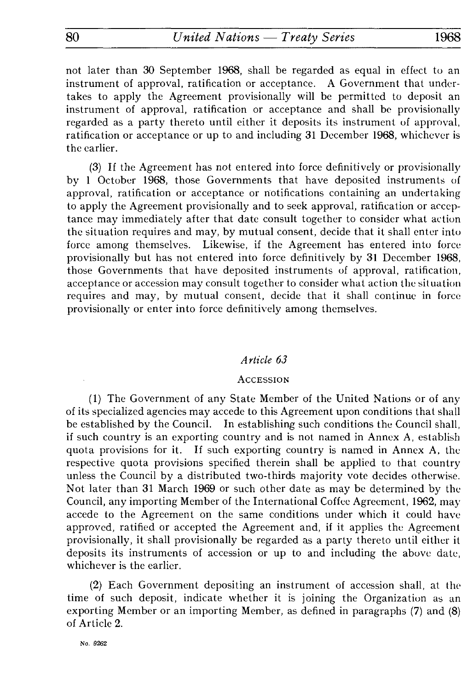not later than 30 September 1968, shall be regarded as equal in effect to an instrument of approval, ratification or acceptance. A Government that under takes to apply the Agreement provisionally will be permitted to deposit an instrument of approval, ratification or acceptance and shall be provisionally regarded as a party thereto until either it deposits its instrument of approval, ratification or acceptance or up to and including 31 December 1968, whichever is the earlier.

(3) If the Agreement has not entered into force definitively or provisionally by 1 October 1968, those Governments that have deposited instruments of approval, ratification or acceptance or notifications containing an undertaking to apply the Agreement provisionally and to seek approval, ratification or accep tance may immediately after that date consult together to consider what action the situation requires and may, by mutual consent, decide that it shall enter into force among themselves. Likewise, if the Agreement has entered into force provisionally but has not entered into force definitively by 31 December 1968, those Governments that have deposited instruments of approval, ratification, acceptance or accession may consult together to consider what action the situation requires and may, by mutual consent, decide that it shall continue in force provisionally or enter into force definitively among themselves.

## *Article 63*

#### **ACCESSION**

(1) The Government of any State Member of the United Nations or of any of its specialized agencies may accede to this Agreement upon conditions that shall be established by the Council. In establishing such conditions the Council shall, if such country is an exporting country and is not named in Annex A, establish quota provisions for it. If such exporting country is named in Annex A, the respective quota provisions specified therein shall be applied to that country unless the Council by a distributed two-thirds majority vote decides otherwise. Not later than 31 March 1969 or such other date as may be determined by the Council, any importing Member of the International Coffee Agreement, 1962, may accede to the Agreement on the same conditions under which it could have approved, ratified or accepted the Agreement and, if it applies the Agreement provisionally, it shall provisionally be regarded as a party thereto until either it deposits its instruments of accession or up to and including the above date, whichever is the earlier.

(2) Each Government depositing an instrument of accession shall, at the time of such deposit, indicate whether it is joining the Organization as an exporting Member or an importing Member, as defined in paragraphs (7) and (8) of Article 2.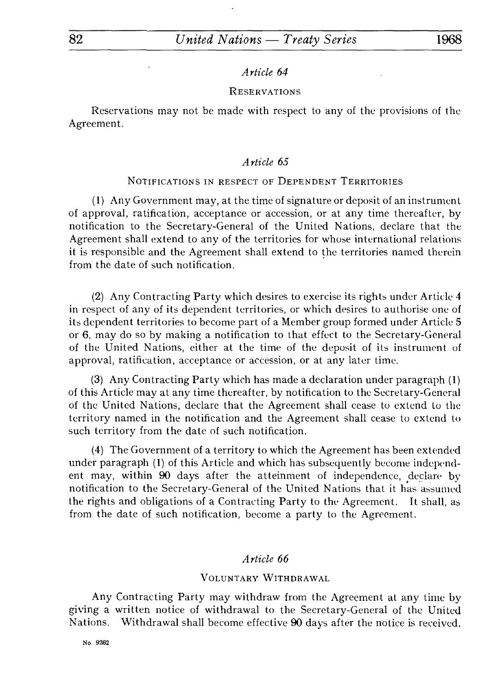## *Article 64*

#### **RESERVATIONS**

Reservations may not be made with respect to any of the provisions of the Agreement.

#### *Article 65*

## NOTIFICATIONS IN RESPECT OF DEPENDENT TERRITORIES

(1) Any Government may, at the time of signature or deposit of an instrument of approval, ratification, acceptance or accession, or at any time thereafter, by notification to the Secretary-General of the United Nations, declare that the Agreement shall extend to any of the territories for whose international relations it is responsible and the Agreement shall extend to the territories named therein from the date of such notification.

(2) Any Contracting Party which desires to exercise its rights under Article 4 in respect of any of its dependent territories, or which desires to authorise one of its dependent territories to become part of a Member group formed under Article 5 or 6, may do so by making a notification to that effect to the Secretary-General of the United Nations, either at the time of the deposit of its instrument of approval, ratification, acceptance or accession, or at any later time.

(3) Any Contracting Party which has made a declaration under paragraph (1) of this Article may at any time thereafter, by notification to the Secretary-General of the United Nations, declare that the Agreement shall cease to extend to the territory named in the notification and the Agreement shall cease to extend to such territory from the date of such notification.

(4) The Government of a territory to which the Agreement has been extended under paragraph (1) of this Article and which has subsequently become independ ent may, within 90 days after the atteinment of independence, declare by notification to the Secretary-General of the United Nations that it has assumed the rights and obligations of a Contracting Party to the Agreement. It shall, as from the date of such notification, become a party to the Agreement.

## *Article 66*

## VOLUNTARY WITHDRAWAL

Any Contracting Party may withdraw from the Agreement at any time by giving a written notice of withdrawal to the Secretary-General of the United Nations. Withdrawal shall become effective 90 days after the notice is received.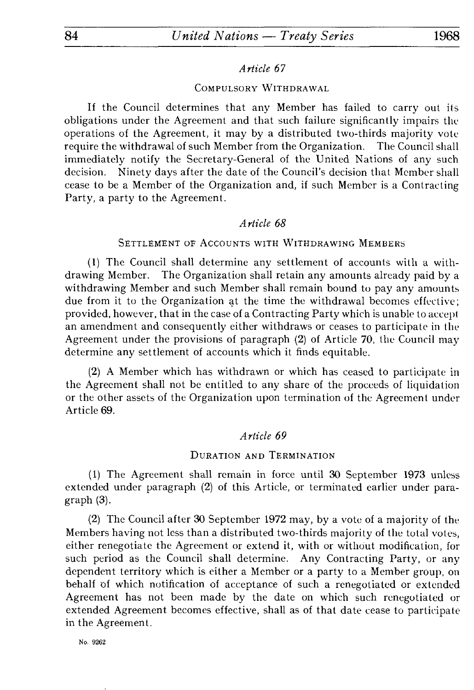#### *Article 67*

#### COMPULSORY WITHDRAWAL

If the Council determines that any Member has failed to carry out its obligations under the Agreement and that such failure significantly impairs the operations of the Agreement, it may by a distributed two-thirds majority vote require the withdrawal of such Member from the Organization. The Council shall immediately notify the Secretary-General of the United Nations of any such decision. Ninety days after the date of the Council's decision that Member shall cease to be a Member of the Organization and, if such Member is a Contracting Party, a party to the Agreement.

#### *Article 68*

## SETTLEMENT OF ACCOUNTS WITH WITHDRAWING MEMBERS

(1) The Council shall determine any settlement of accounts with a with drawing Member. The Organization shall retain any amounts already paid by a withdrawing Member and such Member shall remain bound to pay any amounts due from it to the Organization at the time the withdrawal becomes effective; provided, however, that in the case of a Contracting Party which is unable to accept an amendment and consequently either withdraws or ceases to participate in the Agreement under the provisions of paragraph (2) of Article 70, the Council may determine any settlement of accounts which it finds equitable.

(2) A Member which has withdrawn or which has ceased to participate in the Agreement shall not be entitled to any share of the proceeds of liquidation or the other assets of the Organization upon termination of the Agreement under Article 69.

## *Article 69*

#### DURATION AND TERMINATION

(1) The Agreement shall remain in force until 30 September 1973 unless extended under paragraph (2) of this Article, or terminated earlier under para graph (3).

(2) The Council after 30 September 1972 may, by a vote of a majority of the Members having not less than a distributed two-thirds majority of the total votes, either renegotiate the Agreement or extend it, with or without modification, for such period as the Council shall determine. Any Contracting Party, or any dependent territory which is either a Member or a party to a Member group, on behalf of which notification of acceptance of such a renegotiated or extended Agreement has not been made by the date on which such renegotiated or extended Agreement becomes effective, shall as of that date cease to participate in the Agreement.

No. 9262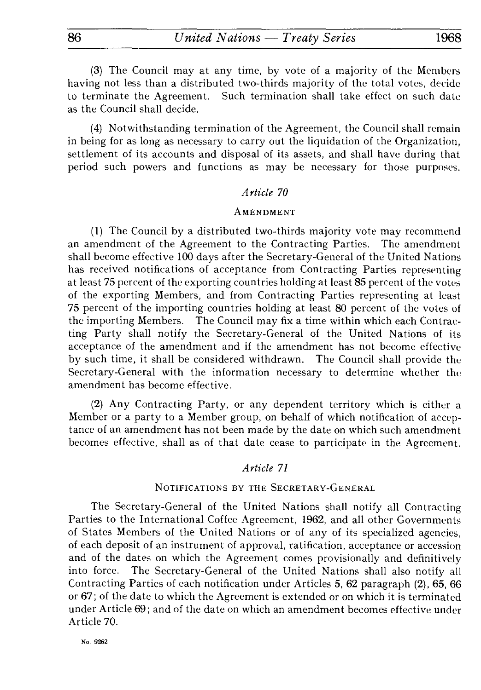(3) The Council may at any time, by vote of a majority of the Members having not less than a distributed two-thirds majority of the total votes, decide<br>to terminate the Agreement. Such termination shall take effect on such date Such termination shall take effect on such date as the Council shall decide.

(4) Notwithstanding termination of the Agreement, the Council shall remain in being for as long as necessary to carry out the liquidation of the Organization, settlement of its accounts and disposal of its assets, and shall have during that period such powers and functions as may be necessary for those purposes.

## *Article 70*

#### AMENDMENT

(1) The Council by a distributed two-thirds majority vote may recommend an amendment of the Agreement to the Contracting Parties. The amendment shall become effective 100 days after the Secretary-General of the United Nations has received notifications of acceptance from Contracting Parties representing at least 75 percent of the exporting countries holding at least 85 percent of the votes of the exporting Members, and from Contracting Parties representing at least 75 percent of the importing countries holding at least 80 percent of the votes of the importing Members. The Council may fix a time within which each Contrac ting Party shall notify the Secretary-General of the United Nations of its acceptance of the amendment and if the amendment has not become effective by such time, it shall be considered withdrawn. The Council shall provide the Secretary-General with the information necessary to determine whether the amendment has become effective.

(2) Any Contracting Party, or any dependent territory which is either a Member or a party to a Member group, on behalf of which notification of accep tance of an amendment has not been made by the date on which such amendment becomes effective, shall as of that date cease to participate in the Agreement.

#### *Article 71*

## NOTIFICATIONS BY THE SECRETARY-GENERAL

The Secretary-General of the United Nations shall notify all Contracting Parties to the International Coffee Agreement, 1962, and all other Governments of States Members of the United Nations or of any of its specialized agencies, of each deposit of an instrument of approval, ratification, acceptance or accession and of the dates on which the Agreement comes provisionally and definitively into force. The Secretary-General of the United Nations shall also notify all Contracting Parties of each notification under Articles 5, 62 paragraph (2), 65, 66 or 67 ; of the date to which the Agreement is extended or on which it is terminated under Article 69; and of the date on which an amendment becomes effective under Article 70.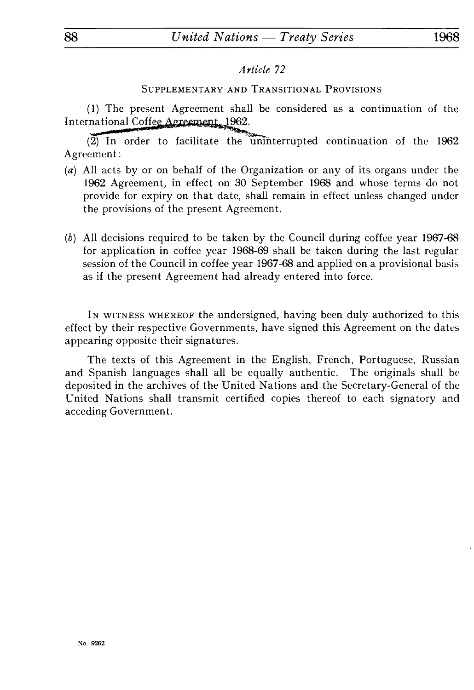## *Article 72*

## SUPPLEMENTARY AND TRANSITIONAL PROVISIONS

(1) The present Agreement shall be considered as a continuation of the International Coffee Agreement, 1962.

(2) In order to facilitate the uninterrupted continuation of the 1962 Agreement :

- *(a)* All acts by or on behalf of the Organization or any of its organs under the 1962 Agreement, in effect on 30 September 1968 and whose terms do not provide for expiry on that date, shall remain in effect unless changed under the provisions of the present Agreement.
- *(b)* All decisions required to be taken by the Council during coffee year 1967-68 for application in coffee year 1968-69 shall be taken during the last regular session of the Council in coffee year 1967-68 and applied on a provisional basis as if the present Agreement had already entered into force.

IN WITNESS WHEREOF the undersigned, having been duly authorized to this effect by their respective Governments, have signed this Agreement on the dates appearing opposite their signatures.

The texts of this Agreement in the English, French, Portuguese, Russian and Spanish languages shall all be equally authentic. The originals shall be deposited in the archives of the United Nations and the Secretary-General of the-United Nations shall transmit certified copies thereof to each signatory and acceding Government.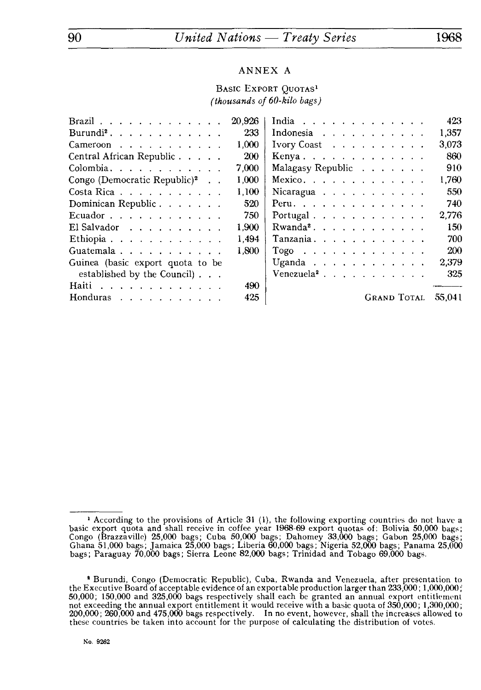#### ANNEX A

#### BASIC EXPORT QUOTAS<sup>1</sup> *(thousands of 60-kilo bags)*

| (thousands of 60-kilo bags)                |                                                            |  |  |
|--------------------------------------------|------------------------------------------------------------|--|--|
| 20,926                                     | 423                                                        |  |  |
| Brazil                                     | India $\ldots$ , $\ldots$ , $\ldots$ , $\ldots$ , $\ldots$ |  |  |
| 233                                        | 1,357                                                      |  |  |
| Burundi <sup>2</sup> .                     | Indonesia                                                  |  |  |
| 1.000                                      | 3.073                                                      |  |  |
| $C$ ameroon                                | Ivory Coast                                                |  |  |
| 200                                        | -860                                                       |  |  |
| Central African Republic                   | Kenya                                                      |  |  |
| 7.000                                      | 910                                                        |  |  |
| Colombia.                                  | Malagasy Republic                                          |  |  |
| Congo (Democratic Republic) <sup>2</sup>   | 1.760                                                      |  |  |
| 1.000                                      | Mexico.                                                    |  |  |
| 1.100                                      | 550                                                        |  |  |
| Costa Rica $\cdots$ $\cdots$ $\cdots$      | Nicaragua                                                  |  |  |
| 520                                        | 740                                                        |  |  |
| Dominican Republic.                        | Peru.                                                      |  |  |
| 750                                        | 2.776                                                      |  |  |
| Ecuador                                    | Portugal $\ldots$ , $\ldots$ , $\ldots$ , $\ldots$         |  |  |
| El Salvador $\ldots$ , $\ldots$ , $\ldots$ | 150                                                        |  |  |
| 1.900                                      | Rwanda <sup>2</sup> .                                      |  |  |
| 1,494                                      | 700                                                        |  |  |
| Ethiopia                                   | Tanzania                                                   |  |  |
| 1,800                                      | 200                                                        |  |  |
| Guatemala                                  | $Togo$                                                     |  |  |
| Guinea (basic export quota to be           | Uganda<br>2,379                                            |  |  |
| established by the Council)                | 325<br>Venezuela <sup>2</sup>                              |  |  |
| Haiti<br>490                               |                                                            |  |  |
| 425                                        | GRAND TOTAL                                                |  |  |
| Honduras                                   | 55,041                                                     |  |  |

<sup>&</sup>lt;sup>1</sup> According to the provisions of Article 31 (1), the following exporting countries do not have a basic export quota and shall receive in coffee year 1968-69 export quotas of: Bolivia 50,000 bags; Congo (Brazzaville) 25,0

<sup>\*</sup> Burundi, Congo (Democratic Republic), Cuba, Rwanda and Venezuela, after presentation to the Executive Board of acceptable evidence of an exportable production larger than 233,000 ; 1,000,000 ;' 50,000; 150,000 and 325,000 bags respectively shall each be granted an annual export entitlement not exceeding the annual export entitlement it would receive with a basic quota of 350,000; 1,300,000;<br>200,000; 260,000 and 475,000 bags respectively. In no event, however, shall the increases allowed to these countries be taken into account for the purpose of calculating the distribution of votes.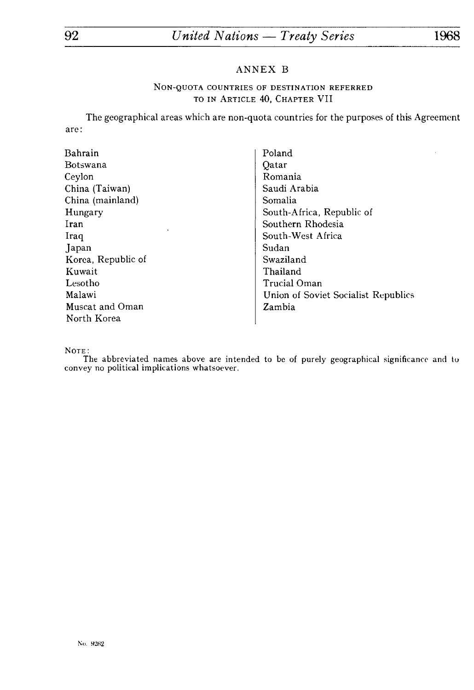## ANNEX B

#### NON-QUOTA COUNTRIES OF DESTINATION REFERRED TO IN ARTICLE 40, CHAPTER VII

The geographical areas which are non-quota countries for the purposes of this Agreement are:

| Bahrain            | Poland                              |
|--------------------|-------------------------------------|
| Botswana           | Qatar                               |
| Ceylon             | Romania                             |
| China (Taiwan)     | Saudi Arabia                        |
| China (mainland)   | Somalia                             |
| Hungary            | South-Africa, Republic of           |
| Iran               | Southern Rhodesia                   |
| Iraq               | South-West Africa                   |
| Japan              | Sudan                               |
| Korea, Republic of | Swaziland                           |
| Kuwait             | Thailand                            |
| Lesotho            | Trucial Oman                        |
| Malawi             | Union of Soviet Socialist Republics |
| Muscat and Oman    | Zambia                              |
| North Korea        |                                     |

NOTE:

The abbreviated names above are intended to be of purely geographical significance and to convey no political implications whatsoever.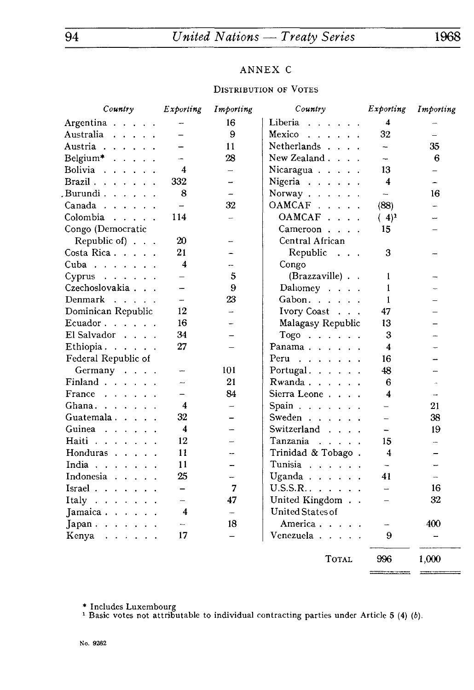## ANNEX C

## DISTRIBUTION OF VOTES

| Country                                                        | Exporting                | Importing                | Country                    | Exporting                | Importing                |
|----------------------------------------------------------------|--------------------------|--------------------------|----------------------------|--------------------------|--------------------------|
| Argentina $\cdots$                                             |                          | 16                       | Liberia                    | 4                        |                          |
| Australia                                                      |                          | 9                        | Mexico                     | 32                       |                          |
| Austria                                                        |                          | 11                       | Netherlands                | $\overline{\phantom{0}}$ | 35                       |
| Belgium*<br>$\mathbf{1}$ , and $\mathbf{1}$ , and $\mathbf{1}$ | <b>-</b>                 | 28                       | New Zealand                | -                        | 6                        |
| Bolivia                                                        | 4                        | $\overline{\phantom{0}}$ | Nicaragua                  | 13                       |                          |
| Brazil                                                         | 332                      |                          | Nigeria                    | 4                        |                          |
| Burundi                                                        | 8                        | -                        | Norway                     | $\overline{\phantom{0}}$ | 16                       |
| Canada $\ldots$ $\ldots$                                       | L.                       | 32                       | $OAMCAF$ $\ldots$ $\ldots$ | (88)                     | u.                       |
| Colombia                                                       | 114                      |                          | OAMCAF                     | $(4)^1$                  |                          |
| Congo (Democratic                                              |                          |                          | Cameroon                   | 15                       |                          |
| Republic of)                                                   | 20                       |                          | Central African            |                          |                          |
| Costa Rica.                                                    | 21                       |                          | Republic                   | 3                        |                          |
| Cuba                                                           | 4                        | --                       | Congo                      |                          |                          |
| $Cvprus \dots \dots$                                           | $\overline{\phantom{0}}$ | 5                        | (Brazzaville)              | 1                        |                          |
| Czechoslovakia                                                 | Ļ.                       | 9                        | Dalomey $\ldots$ .         | 1                        |                          |
| Denmark                                                        | ∽                        | 23                       | Gabon.                     | 1                        |                          |
| Dominican Republic                                             | 12                       | $\overline{\phantom{0}}$ | Ivory Coast                | 47                       |                          |
| $Ecuador \ldots$ ,                                             | 16                       | $\overline{\phantom{a}}$ | Malagasy Republic          | 13                       |                          |
| El Salvador                                                    | 34                       |                          | $Togo \dots \dots$         | 3                        |                          |
| Ethiopia. $\ldots$ .                                           | 27                       |                          | Panama, , , , , ,          | $\overline{\bf{4}}$      |                          |
| Federal Republic of                                            |                          |                          | Peru                       | 16                       |                          |
| Germany                                                        | -                        | 101                      | Portugal. $\ldots$ .       | 48                       |                          |
| Finland $\ldots$ $\ldots$                                      | ----                     | 21                       | Rwanda                     | 6                        |                          |
| France                                                         | $\equiv$                 | 84                       | Sierra Leone               | 4                        | $\rightarrow$            |
| Ghana.                                                         | 4                        | -                        | Spain                      |                          | 21                       |
| Guatemala                                                      | 32                       |                          | Sweden                     |                          | 38                       |
| Guinea $\cdots$                                                | 4                        |                          | Switzerland                |                          | 19                       |
| Haiti                                                          | 12                       |                          | Tanzania                   | 15                       | $\overline{a}$           |
| Honduras                                                       | 11                       | $\overline{a}$           | Trinidad & Tobago.         | 4                        | -                        |
| India                                                          | 11                       |                          | Tunisia                    |                          |                          |
| Indonesia                                                      | 25                       | -                        | Uganda                     | 41                       | in.                      |
| Israel                                                         | -                        | 7                        | U.S.S.R.                   | L.                       | 16                       |
| Italy $\cdots$ $\cdots$                                        | ī.                       | 47                       | United Kingdom             |                          | 32                       |
| Jamaica                                                        | 4                        | ÷,                       | United States of           |                          |                          |
| Japan.                                                         | ÷,                       | 18                       | America                    |                          | 400                      |
| Kenya                                                          | 17                       | —                        | Venezuela                  | 9                        | $\overline{\phantom{m}}$ |
|                                                                |                          |                          |                            |                          |                          |
|                                                                |                          |                          | Total                      | 996                      | 1,000                    |
|                                                                |                          |                          |                            |                          |                          |

\* Includes Luxembourg 1 Basic votes not attributable to individual contracting parties under Article 5 (4) *(b).*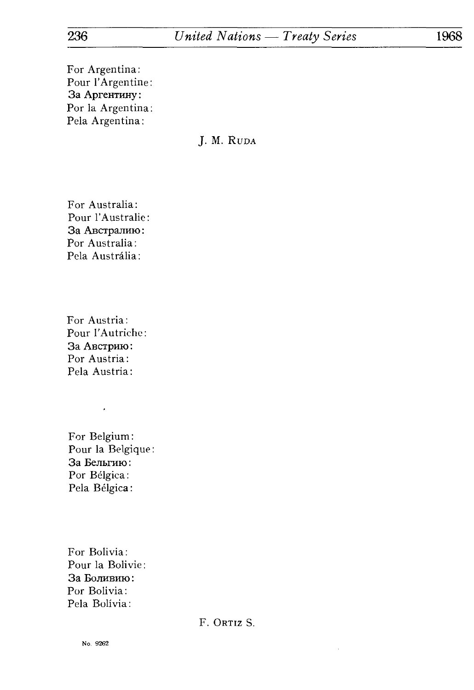For Argentina: Pour l'Argentine: За Аргентину: For la Argentina: Pela Argentina:

## J. M. RUDA

For Australia: Pour l'Australie: За Австралию: Por Australia: Pela Austrália:

For Austria: Pour l'Autriche: 3a ABcrpmo: Por Austria: Pela Austria :

For Belgium : Pour la Belgique: За Бельгию: Por Bélgica: Pela Bélgica:

For Bolivia: Pour la Bolivie : За Боливию: Por Bolivia: Pela Bolivia: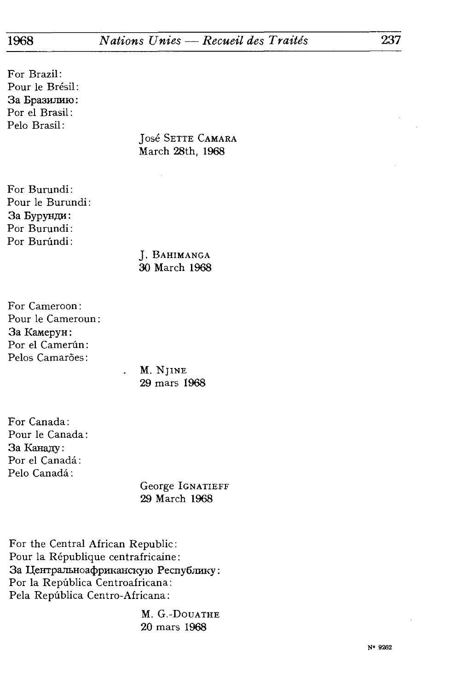| 1968                                                                                    |                                                                                                                 | Nations Unies — Recueil des Traités | 237 |
|-----------------------------------------------------------------------------------------|-----------------------------------------------------------------------------------------------------------------|-------------------------------------|-----|
| For Brazil:<br>Pour le Brésil:<br>За Бразилию:<br>Por el Brasil:<br>Pelo Brasil:        | José SETTE CAMARA<br>March 28th, 1968                                                                           |                                     |     |
| For Burundi:<br>Pour le Burundi:<br>За Бурунди:<br>Por Burundi:<br>Por Burúndi:         | J. BAHIMANGA<br>30 March 1968                                                                                   |                                     |     |
| For Cameroon:<br>Pour le Cameroun:<br>За Камерун:<br>Por el Camerún:<br>Pelos Camarões: | M. NJINE<br>29 mars 1968                                                                                        |                                     |     |
| For Canada:<br>Pour le Canada:<br>За Канаду:<br>Por el Canadá:<br>Pelo Canadá:          | George IGNATIEFF<br>29 March 1968                                                                               |                                     |     |
| Por la República Centroafricana:<br>Pela República Centro-Africana:                     | For the Central African Republic:<br>Pour la République centrafricaine:<br>За Центральноафриканскую Республику: |                                     |     |

**M. G.-DOUATHE** 20 mars 1968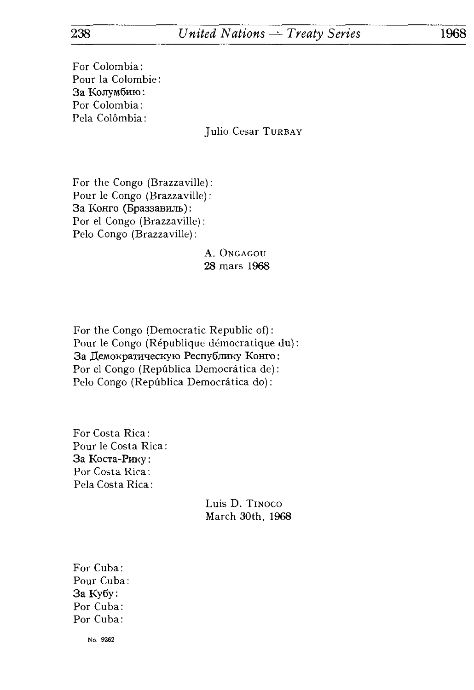For Colombia: Pour la Colombie: За Колумбию: For Colombia: Pela Colômbia:

Julio Cesar TURBAY

For the Congo (Brazzaville) : Pour le Congo (Brazzaville) : За Конго (Браззавиль): Por el Congo (Brazzaville) : Pelo Congo (Brazzaville) :

## A. ONGAGOU 28 mars 1968

For the Congo (Democratic Republic of) : Pour le Congo (République démocratique du) : За Демократическую Республику Конго: Por el Congo (Repûblica Democrâtica de) : Pelo Congo (Repûblica Democrâtica do) :

For Costa Rica : Pour le Costa Rica: За Коста-Рику: Por Costa Rica : Pela Costa Rica:

> Luis D. TINOCO March 30th, 1968

For Cuba : Pour Cuba: 3aKy6y: Por Cuba : Por Cuba:

No. 9262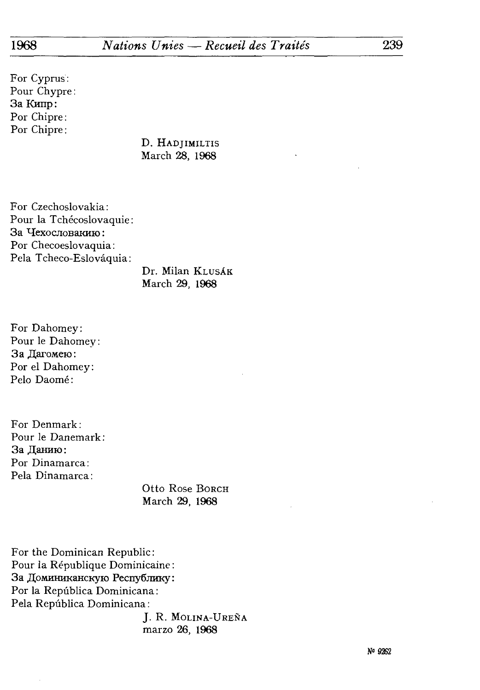For Cyprus: Pour Chypre : 3a Kunp: Por Chipre : Por Chipre:

## D. HADJIMILTIS March 28, 1968

For Czechoslovakia: Pour la Tchécoslovaquie: За Чехословакию: Por Checoeslovaquia : Pela Tcheco-Eslovâquia :

Dr. Milan KLUSÂK March 29, 1968

For Dahomey: Pour le Dahomey : За Лагомею: Por el Dahomey : Pelo Daomé:

For Denmark: Pour le Danemark: За Данию: Por Dinamarca: Pela Dinamarca :

> Otto Rose BORCH March 29, 1968

For the Dominican Republic : Pour la République Dominicaine : За Доминиканскую Республику: Por la Repûblica Dominicana : Pela Repûblica Dominicana : J. R. MOLINA-UREÑA

marzo 26, 1968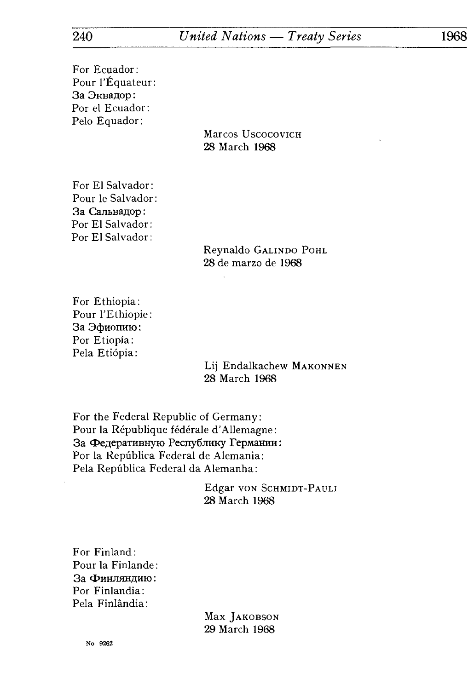# 240 *United Nations — Treaty Series* 1968

For Ecuador: Pour l'Equateur: За Эквадор: Por el Ecuador: Pelo Equador:

> Marcos USCOCOVICH 28 March 1968

For El Salvador : Pour le Salvador : За Сальвадор: Por El Salvador : Por El Salvador :

> Reynaldo GALINDO POHL 28 de marzo de 1968

For Ethiopia: Pour l'Ethiopie : За Эфиопию: Por Etiopia: Pela Etiôpia:

> Lij Endalkachew MAKONNEN 28 March 1968

For the Federal Republic of Germany : Pour la République fédérale d'Allemagne : За Федеративную Республику Германии: Por la Repûblica Federal de Alemania: Pela Repûblica Federal da Alemanha :

> Edgar VON SCHMIDT-PAULI 28 March 1968

For Finland: Pour la Finlande : За Финляндию: Por Finlandia: Pela Finlândia:

> Max JAKOBSON 29 March 1968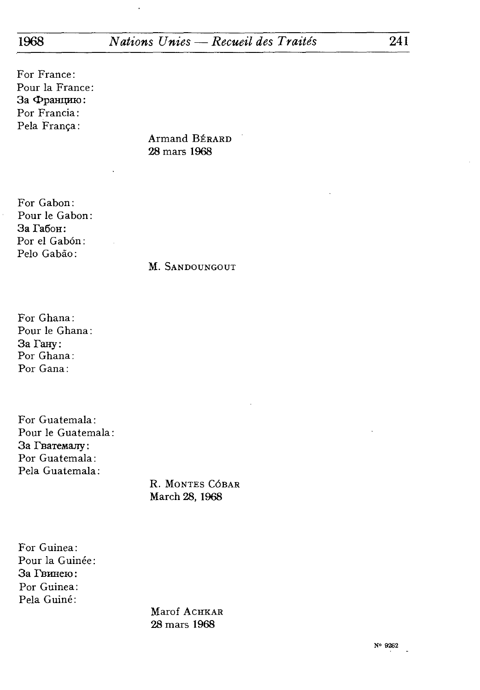For France : Pour la France : За Францию: Por Francia: Pela França:

Armand BÉRARD 28 mars 1968

For Gabon: Pour le Gabon : За Габон: Por el Gabón: Pelo Gabâo:

M.SANDOUNGOUT

For Ghana: Pour le Ghana : SaTany: Por Ghana: Por Gana:

For Guatemala: Pour le Guatemala: За Гватемалу: Por Guatemala: Pela Guatemala:

> R. MONTES CÔBAR March 28, 1968

For Guinea: Pour la Guinée : 3a FBHHeio : Por Guinea: Pela Guiné:

Marof ACHKAR 28 mars 1968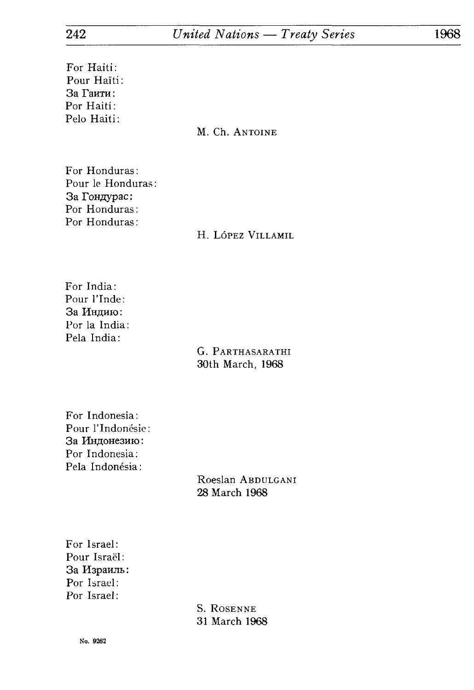For Haiti: Pour Haïti : За Гаити: Por Haití: Pelo Haiti:

M. Ch. ANTOINE

For Honduras: Pour le Honduras: За Гондурас: Por Honduras: Por Honduras:

H. LÔPEZ VILLAMIL

For India: Pour l'Inde: За Индию: Por la India: Pela India:

## G. PARTHASARATHI 30th March, 1968

For Indonesia: Pour l'Indonésie: За Индонезию: Por Indonesia: Pela Indonésia:

## Roeslan ABDULGANI 28 March 1968

For Israel: Pour Israël: За Израиль: Por Israel: Por Israel:

> S. ROSENNE 31 March 1968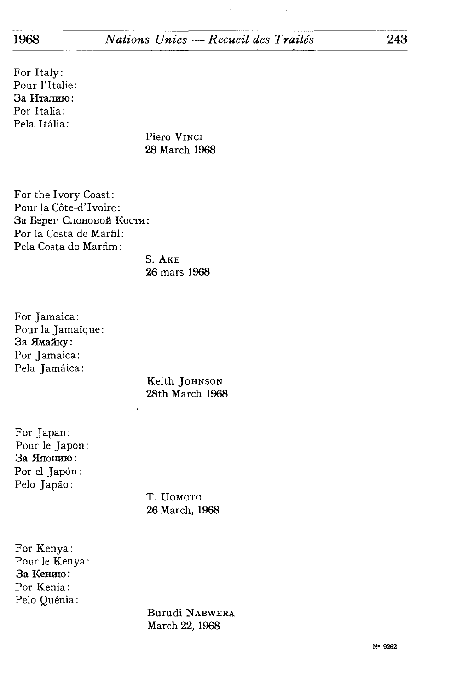# 1968 *Nations Unies — Recueil des Traités* 243

For Italy: Pour l'Italie : За Италию: Por Italia: Pela Italia:

> Piero VINCI 28 March 1968

For the Ivory Coast : Pour la Côte-d'Ivoire : **3a** Beper CJIOHOBOH KOCTH : Por la Costa de Marfil : Pela Costa do Marfim :

S. AKE 26 mars 1968

For Jamaica : Pour la Jamaïque : За Ямайку: Por Jamaica: Pela Jamáica:

> Keith JOHNSON 28th March 1968

For Japan: Pour le Japon : За Японию: Por el Japón: Pelo Japâo :

> T. UOMOTO 26 March, 1968

For Kenya: Pour le Kenya : За Кению: Por Kenia: Pelo Quénia:

> Burudi NABWERA March 22, 1968

Nº 9262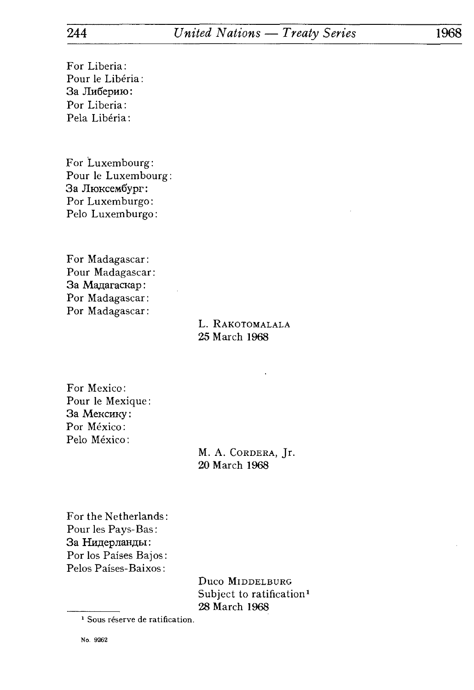For Liberia: Pour le Libéria : За Либерию: Por Liberia: Pela Libéria:

For Luxembourg: Pour le Luxembourg: За Люксембург: Por Luxemburgo : Pelo Luxemburgo :

For Madagascar: Pour Madagascar: За Мадагаскар: Por Madagascar: Por Madagascar:

## L. RAKOTOMALALA 25 March 1968

For Mexico: Pour le Mexique : За Мексику: Por México: Pelo México:

> M. A. CORDERA, Jr. 20 March 1968

For the Netherlands : Pour les Pays-Bas : За Нидерланды: Por los Paises Bajos : Pelos Paises-Baixos :

> **DUCO MlDDELBURG** Subject to ratification<sup>1</sup> 28 March 1968

<sup>1</sup> Sous réserve de ratification.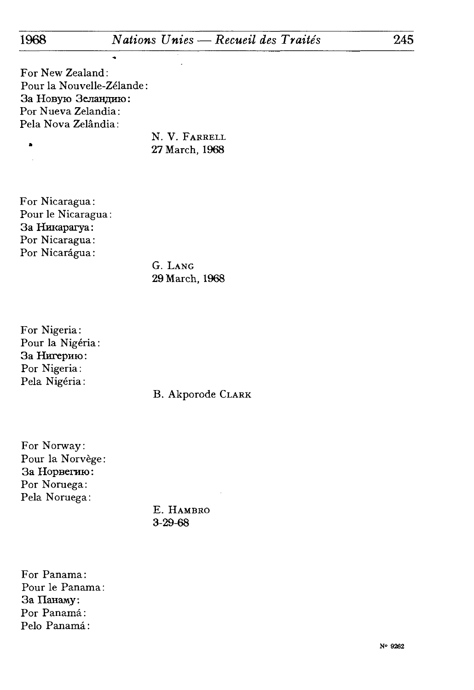×

For New Zealand : Pour la Nouvelle-Zélande : За Новую Зеландию: Por Nueva Zelandia : Pela Nova Zelândia:

N. V. FARRELL 27 March, 1968

For Nicaragua: Pour le Nicaragua : За Никарагуа: Por Nicaragua: Por Nicarágua:

G. LANG 29 March, 1968

For Nigeria: Pour la Nigéria: За Нигерию: Por Nigeria: Pela Nigéria:

B. Akporode CLARK

For Norway: Pour la Norvège : За Норвегию: Por Noruega: Pela Noruega:

> E. HAMBRO 3-29-68

For Panama : Pour le Panama: За Панаму: Por Panamá: Pelo Panamá: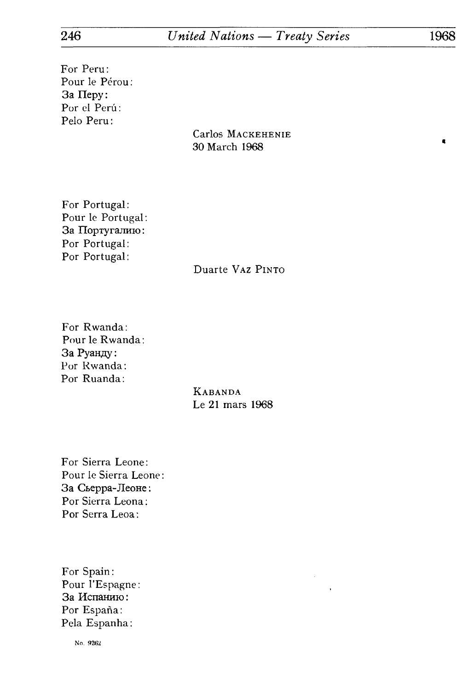For Peru: Pour le Pérou: За Перу: Por el Perú: Pelo Peru :

> Carlos MACKEHENIE 30 March 1968

For Portugal: Pour le Portugal: За Португалию: Por Portugal: Por Portugal:

## Duarte VAZ PINTO

For Rwanda: Pour le Rwanda : За Руанду: Por Rwanda: Por Ruanda:

> KABANDA Le 21 mars 1968

For Sierra Leone: Pour le Sierra Leone : 3a Cteppa-JIeoHe : Por Sierra Leona: Por Serra Leoa :

For Spain : Pour l'Espagne: За Испанию: Por España: Pela Espanha:

No. 9262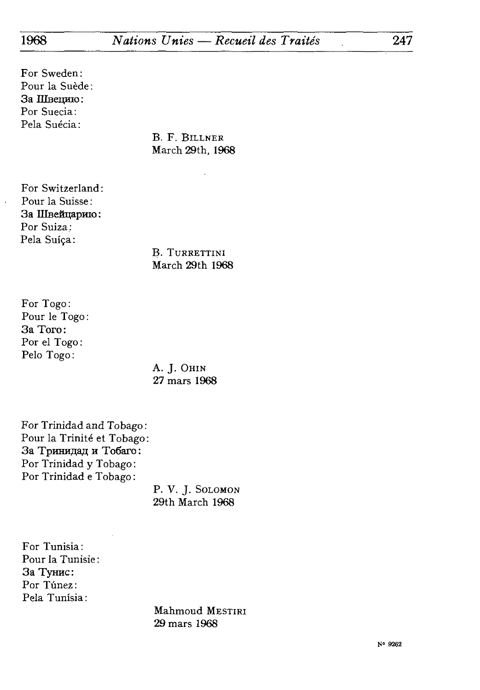# 1968 *Nations Unies — Recueil des Traités* 247

For Sweden: Pour la Suède : За Швению: Por Suecia: Pela Suécia:

> B. F. BILLNER March 29th, 1968

For Switzerland : Pour la Suisse : 3a Por Suiza: Pela Suiça:

> B. TURRETTINI March 29th 1968

For Togo : Pour le Togo: 3aToro: Por el Togo : Pelo Togo:

> A. J. OHIN 27 mars 1968

For Trinidad and Tobago : Pour la Trinité et Tobago : За Тринидад и Тобаго: Por Trinidad y Tobago : Por Trinidad e Tobago:

> P. V. J. SOLOMON 29th March 1968

For Tunisia : Pour la Tunisie : За Тунис: Por Tûnez : Pela Tunisia :

> Mahmoud MESTIRI 29 mars 1968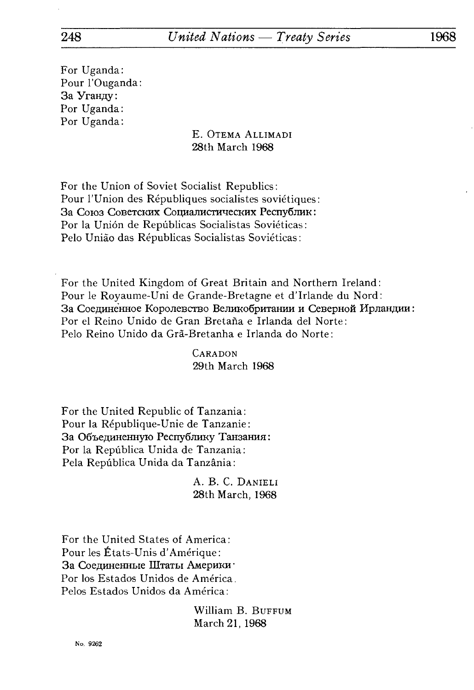For Uganda: Pour l'Ouganda: За Уганду: For Uganda: Por Uganda:

## E. OTEMA ALLIMADI 28th March 1968

For the Union of Soviet Socialist Republics: Pour l'Union des Républiques socialistes soviétiques : За Союз Советских Социалистических Республик: For la Union de Repûblicas Socialistas Soviéticas : Pelo União das Républicas Socialistas Soviéticas:

For the United Kingdom of Great Britain and Northern Ireland: Pour le Royaume-Uni de Grande-Bretagne et d'Irlande du Nord За Соединенное Королевство Великобритании и Северной Ирландии: Por el Reino Unido de Gran Bretana e Irlanda del Norte: Pelo Reino Unido da Grâ-Bretanha e Irlanda do Norte :

> CARADON 29th March 1968

For thé United Republic of Tanzania : Pour la République-Unie de Tanzanie : За Объединенную Республику Танзания: Por la Repûblica Unida de Tanzania: Pela República Unida da Tanzânia:

> A. B. C. DANIELI 28th March, 1968

For thé United States of America: Pour les États-Unis d'Amérique: За Соединенные Штаты Америки Por los Estados Unidos de America. Pelos Estados Unidos da America:

> William B. BUFFUM March 21, 1968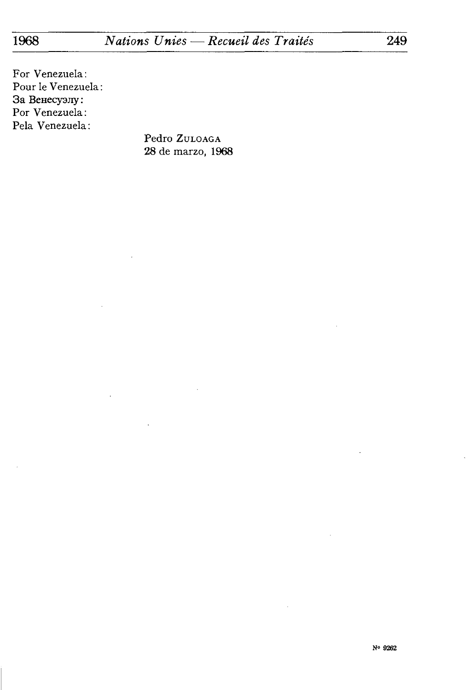# 1968 *Nations Unies* — *Recueil des Traités* 249

For Venezuela : Pour le Venezuela : За Венесуэлу: Por Venezuela : Pela Venezuela :

> Pedro ZULOAGA 28 de marzo, 1968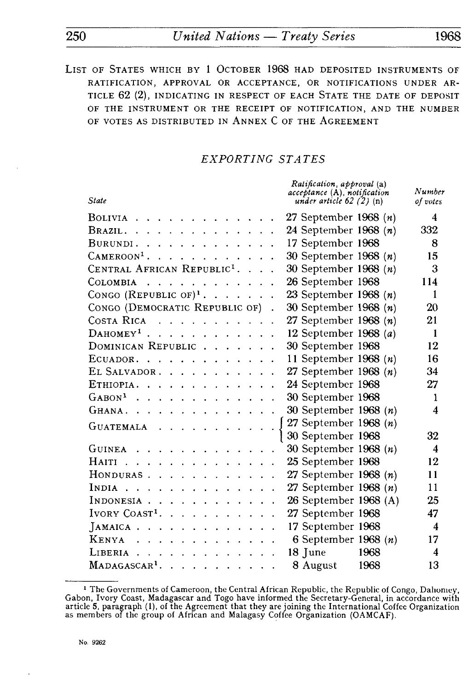LIST OF STATES WHICH BY 1 OCTOBER 1968 HAD DEPOSITED INSTRUMENTS OF RATIFICATION, APPROVAL OR ACCEPTANCE, OR NOTIFICATIONS UNDER AR TICLE 62 (2), INDICATING IN RESPECT OF EACH STATE THE DATE OF DEPOSIT OF THE INSTRUMENT OR THE RECEIPT OF NOTIFICATION, AND THE NUMBER OF VOTES AS DISTRIBUTED IN ANNEX C OF THE AGREEMENT

## *EXPORTING STATES*

| <b>State</b>                                                                                        | Ratification, approval (a)<br>acceptance (A), notification<br>under article $62$ (2) (n) | Number<br>of votes |
|-----------------------------------------------------------------------------------------------------|------------------------------------------------------------------------------------------|--------------------|
| BOLIVIA<br><b><i>Charles Committee</i></b>                                                          | 27 September 1968 $(n)$                                                                  | 4                  |
| BRAZIL.<br>$\mathcal{L}^{\text{max}}$<br>$\ddot{\phantom{a}}$<br><b>Contract Contract Contract</b>  | 24 September 1968 $(n)$                                                                  | 332                |
| BURUNDI                                                                                             | 17 September 1968                                                                        | 8                  |
| $CAMEROON1$ , , , , , , , , ,                                                                       | 30 September 1968 (n)                                                                    | 15                 |
| CENTRAL AFRICAN REPUBLIC <sup>1</sup> .                                                             | 30 September 1968 (n)                                                                    | 3                  |
| COLOMBIA                                                                                            | 26 September 1968                                                                        | 114                |
| CONGO $(REPUBLLC OF)^1$ .                                                                           | 23 September 1968 $(n)$                                                                  | 1                  |
| CONGO (DEMOCRATIC REPUBLIC OF)                                                                      | 30 September 1968 $(n)$                                                                  | 20                 |
| $CostARICA$                                                                                         | 27 September 1968 $(n)$                                                                  | 21                 |
| $DAHOMEY1$                                                                                          | 12 September 1968 ( $a$ )                                                                | 1                  |
| DOMINICAN REPUBLIC                                                                                  | 30 September 1968                                                                        | 12                 |
| ECUADOR.                                                                                            | 11 September 1968 $(n)$                                                                  | 16                 |
| EL SALVADOR,<br>$\mathbf{A}$                                                                        | 27 September 1968 $(n)$                                                                  | 34                 |
| ETHIOPIA.                                                                                           | 24 September 1968                                                                        | 27                 |
| $GABON1$<br>$\cdot$                                                                                 | 30 September 1968                                                                        | 1                  |
| GHANA.<br>$\ddot{\phantom{0}}$                                                                      | 30 September 1968 $(n)$                                                                  | 4                  |
| GUATEMALA                                                                                           | 27 September 1968 $(n)$                                                                  |                    |
|                                                                                                     | 30 September 1968                                                                        | 32                 |
| GUINEA                                                                                              | 30 September 1968 (n)                                                                    | 4                  |
| HAITI<br>$\ddot{\phantom{a}}$                                                                       | 25 September 1968                                                                        | 12                 |
| HONDURAS<br>$\ddot{\phantom{a}}$<br>$\ddot{\phantom{a}}$                                            | 27 September 1968 (n)                                                                    | 11                 |
| $INDIA$                                                                                             | 27 September 1968 $(n)$                                                                  | 11                 |
| INDONESIA $\ldots$<br>$\sim$<br>$\ddot{\phantom{a}}$                                                | 26 September 1968 (A)                                                                    | 25                 |
| IVORY $\text{Coas}^{-1}$ .<br>$\ddot{\phantom{0}}$                                                  | 27 September 1968                                                                        | 47                 |
| JAMAICA.<br>$\sim 10^{-1}$ and $\sim 10^{-1}$<br>$\ddot{\phantom{1}}$<br>and the state of the state | 17 September 1968                                                                        | 4                  |
| <b>KENYA</b><br><b><i>Charles Committee Street</i></b>                                              | 6 September 1968 $(n)$                                                                   | 17                 |
| $LIBERIA$<br>$\cdot$<br>$\ddot{\phantom{0}}$                                                        | 18 June<br>1968                                                                          | 4                  |
| MADAGASCAR <sup>1</sup> .                                                                           | 8 August<br>1968                                                                         | 13                 |

<sup>&</sup>lt;sup>1</sup> The Governments of Cameroon, the Central African Republic, the Republic of Congo, Dahomey, Gabon, Ivory Coast, Madagascar and Togo have informed the Secretary-General, in accordance with article 5, paragraph (1), of th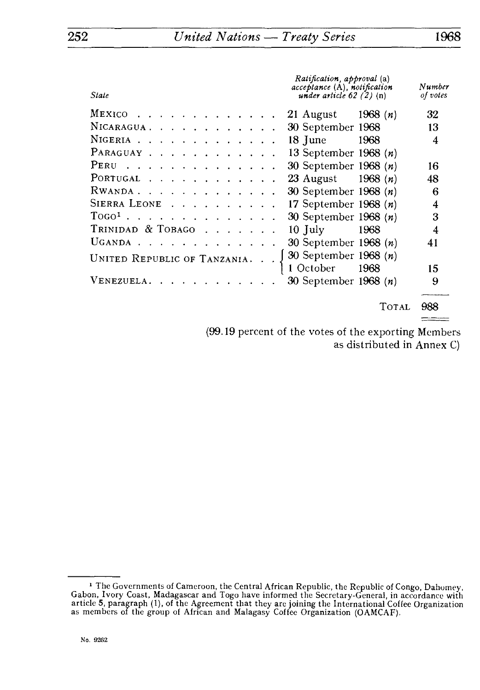| State                                                              | Ratification, approval (a)<br>acceptance (A), notification<br>under article $62$ (2) (n) | Number<br>of votes  |
|--------------------------------------------------------------------|------------------------------------------------------------------------------------------|---------------------|
| MEXICO                                                             | 21 August 1968 ( <i>n</i> )                                                              | 32                  |
| NICARAGUA.                                                         | 30 September 1968                                                                        | 13                  |
| NIGERIA                                                            | 18 June<br>1968                                                                          | 4                   |
| PARAGUAY                                                           | 13 September 1968 $(n)$                                                                  |                     |
| $PERU$                                                             | 30 September 1968 ( <i>n</i> )                                                           | 16                  |
| PORTUGAL                                                           | 23 August<br>1968 $(n)$                                                                  | 48                  |
| $R$ WANDA                                                          | 30 September 1968 $(n)$                                                                  | 6                   |
| SIERRA LEONE                                                       | 17 September 1968 $(n)$                                                                  | 4                   |
| $\text{ToGo1} \cdot \ldots \cdot \ldots \cdot \ldots \cdot \ldots$ | 30 September 1968 $(n)$                                                                  | 3                   |
| TRINIDAD & TOBAGO                                                  | $10$ July<br>1968                                                                        | $\overline{\bf{4}}$ |
| $UGANDA$                                                           | 30 September 1968 $(n)$                                                                  | 41                  |
| UNITED REPUBLIC OF TANZANIA                                        | 30 September 1968 $(n)$                                                                  |                     |
|                                                                    | 1 October 1968                                                                           | 15                  |
| VENEZUELA.                                                         | 30 September 1968 $(n)$                                                                  | 9                   |
|                                                                    | TOTAL                                                                                    | 988                 |

(99.19 percent of the votes of the exporting Members as distributed in Annex C)

<sup>1</sup> The Governments of Cameroon, the Central African Republic, the Republic of Congo, Dahomey, Gabon, Ivory Coast, Madagascar and Togo have informed the Secretary-General, in accordance with article 5, paragraph (1), of the Agreement that they are joining the International Coffee Organization as members of the group of African and Malagasy Coffee Organization (OAMCAF).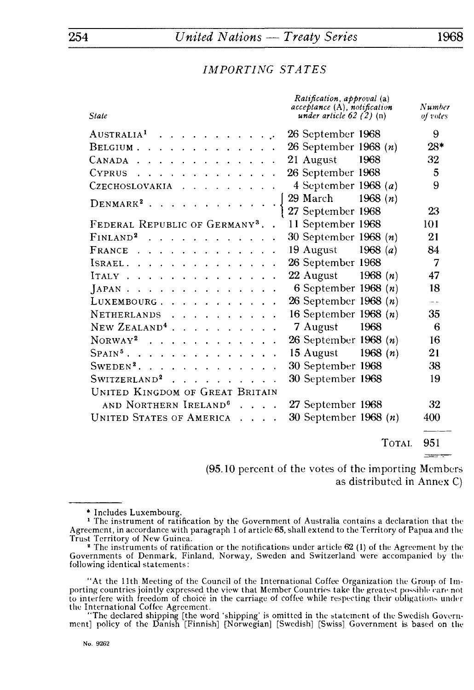#### *IMPORTING STATES*

| State                                                                                                                                         | Ratification, approval (a)<br>acceptance (A), notification<br>under article $62(2)$ (n) | Number<br>of votes |
|-----------------------------------------------------------------------------------------------------------------------------------------------|-----------------------------------------------------------------------------------------|--------------------|
|                                                                                                                                               |                                                                                         |                    |
| $A$ ustralia $^1$                                                                                                                             | 26 September 1968                                                                       | 9                  |
| $B$ ELGIUM $\cdots$ $\cdots$ $\cdots$                                                                                                         | 26 September 1968 $(n)$                                                                 | 28*                |
| CANADA                                                                                                                                        | 21 August<br>1968                                                                       | 32                 |
| $CyPRUS$<br>and the contract of the contract of                                                                                               | 26 September 1968                                                                       | 5                  |
| Czechoslovakia                                                                                                                                | 4 September 1968 ( $a$ )                                                                | 9                  |
|                                                                                                                                               | 29 March<br>1968 $(n)$                                                                  |                    |
| DENMARK <sup>2</sup>                                                                                                                          | 27 September 1968                                                                       | 23                 |
| FEDERAL REPUBLIC OF GERMANY <sup>3</sup> .                                                                                                    | 11 September 1968                                                                       | 101                |
| FINLAND <sup>2</sup><br>$\mathbf{r}$ , $\mathbf{r}$ , $\mathbf{r}$ , $\mathbf{r}$ , $\mathbf{r}$ , $\mathbf{r}$ , $\mathbf{r}$ , $\mathbf{r}$ | 30 September 1968 (n)                                                                   | 21                 |
| FRANCE                                                                                                                                        | 19 August 1968 ( <i>a</i> )                                                             | 84                 |
| ISRAEL.                                                                                                                                       | 26 September 1968                                                                       | 7                  |
| ITALY                                                                                                                                         | 22 August<br>1968 $(n)$                                                                 | 47                 |
| $JAPAN$                                                                                                                                       | 6 September 1968 $(n)$                                                                  | 18                 |
| LUXEMBOURG.                                                                                                                                   | 26 September 1968 (n)                                                                   | in a               |
| NETHERLANDS                                                                                                                                   | 16 September 1968 $(n)$                                                                 | 35                 |
| $N$ ew Zealand <sup>4</sup>                                                                                                                   | 7 August<br>1968                                                                        | 6                  |
| NORWAY <sup>2</sup><br>and a strain and a strain and                                                                                          | 26 September 1968 $(n)$                                                                 | 16                 |
| $SPAIN5$ .                                                                                                                                    | 15 August<br>1968 $(n)$                                                                 | 21                 |
| $\text{SwEDEN}^2$ .                                                                                                                           | 30 September 1968                                                                       | 38                 |
| $SWITZERLAND2$                                                                                                                                | 30 September 1968                                                                       | 19                 |
| UNITED KINGDOM OF GREAT BRITAIN                                                                                                               |                                                                                         |                    |
| AND NORTHERN IRELAND <sup>6</sup>                                                                                                             | 27 September 1968                                                                       | 32                 |
| UNITED STATES OF AMERICA                                                                                                                      | 30 September 1968 (n)                                                                   | 400                |
|                                                                                                                                               |                                                                                         |                    |

TOTAL 951

(95.10 percent of the votes of the importing Members as distributed in Annex C)

\* Includes Luxembourg.

<sup>1</sup> The instrument of ratification by the Government of Australia contains a declaration that the Agreement, in accordance with paragraph 1 of article 65, shall extend to the Territory of Papua and the Trust Territory of New Guinea. z The instruments of ratification or the notifications under article 62 (1) of the Agreement by the

Governments of Denmark, Finland, Norway, Sweden and Switzerland were accompanied by the following identical statements :

<sup>&</sup>quot;At the llth Meeting of the Council of the International Coffee Organization the Group of Im porting countries jointly expressed the view that Member Countries take the greatest possible rare not to interfere with freedom of choice in the carriage of coffee while respecting their obligations under the International Coffee Agreement.

<sup>&</sup>quot;The declared shipping [the word 'shipping' is omitted in the statement of the Swedish Govern ment] policy of the Danish [Finnish] [Norwegian] [Swedish] [Swiss] Government is based on the